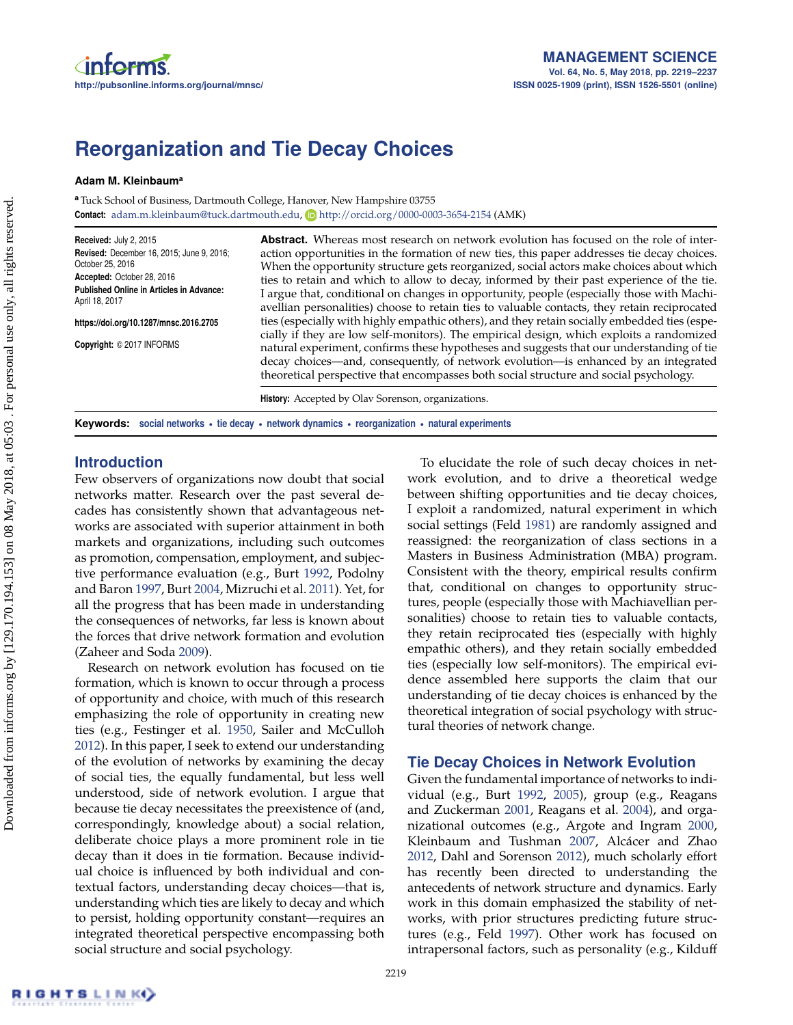# **Reorganization and Tie Decay Choices**

#### **Adam M. Kleinbaum<sup>a</sup>**

**<sup>a</sup>** Tuck School of Business, Dartmouth College, Hanover, New Hampshire 03755 Contact: [adam.m.kleinbaum@tuck.dartmouth.edu,](mailto:adam.m.kleinbaum@tuck.dartmouth.edu) D<http://orcid.org/0000-0003-3654-2154> (AMK)

**Received:** July 2, 2015 **Revised:** December 16, 2015; June 9, 2016; October 25, 2016 **Accepted:** October 28, 2016 **Published Online in Articles in Advance:** April 18, 2017

**https://doi.org/10.1287/mnsc.2016.2705**

**Copyright:** © 2017 INFORMS

**Abstract.** Whereas most research on network evolution has focused on the role of interaction opportunities in the formation of new ties, this paper addresses tie decay choices. When the opportunity structure gets reorganized, social actors make choices about which ties to retain and which to allow to decay, informed by their past experience of the tie. I argue that, conditional on changes in opportunity, people (especially those with Machiavellian personalities) choose to retain ties to valuable contacts, they retain reciprocated ties (especially with highly empathic others), and they retain socially embedded ties (especially if they are low self-monitors). The empirical design, which exploits a randomized natural experiment, confirms these hypotheses and suggests that our understanding of tie decay choices—and, consequently, of network evolution—is enhanced by an integrated theoretical perspective that encompasses both social structure and social psychology.

**History:** Accepted by Olav Sorenson, organizations.

**Keywords: social networks • tie decay • network dynamics • reorganization • natural experiments**

# **Introduction**

Few observers of organizations now doubt that social networks matter. Research over the past several decades has consistently shown that advantageous networks are associated with superior attainment in both markets and organizations, including such outcomes as promotion, compensation, employment, and subjective performance evaluation (e.g., Burt [1992,](#page-16-0) Podolny and Baron [1997,](#page-18-0) Burt [2004,](#page-17-0) Mizruchi et al. [2011\)](#page-18-1). Yet, for all the progress that has been made in understanding the consequences of networks, far less is known about the forces that drive network formation and evolution (Zaheer and Soda [2009\)](#page-18-2).

Research on network evolution has focused on tie formation, which is known to occur through a process of opportunity and choice, with much of this research emphasizing the role of opportunity in creating new ties (e.g., Festinger et al. [1950,](#page-17-1) Sailer and McCulloh [2012\)](#page-18-3). In this paper, I seek to extend our understanding of the evolution of networks by examining the decay of social ties, the equally fundamental, but less well understood, side of network evolution. I argue that because tie decay necessitates the preexistence of (and, correspondingly, knowledge about) a social relation, deliberate choice plays a more prominent role in tie decay than it does in tie formation. Because individual choice is influenced by both individual and contextual factors, understanding decay choices—that is, understanding which ties are likely to decay and which to persist, holding opportunity constant—requires an integrated theoretical perspective encompassing both social structure and social psychology.

To elucidate the role of such decay choices in network evolution, and to drive a theoretical wedge between shifting opportunities and tie decay choices, I exploit a randomized, natural experiment in which social settings (Feld [1981\)](#page-17-2) are randomly assigned and reassigned: the reorganization of class sections in a Masters in Business Administration (MBA) program. Consistent with the theory, empirical results confirm that, conditional on changes to opportunity structures, people (especially those with Machiavellian personalities) choose to retain ties to valuable contacts, they retain reciprocated ties (especially with highly empathic others), and they retain socially embedded ties (especially low self-monitors). The empirical evidence assembled here supports the claim that our understanding of tie decay choices is enhanced by the theoretical integration of social psychology with structural theories of network change.

# **Tie Decay Choices in Network Evolution**

Given the fundamental importance of networks to individual (e.g., Burt [1992,](#page-16-0) [2005\)](#page-17-3), group (e.g., Reagans and Zuckerman [2001,](#page-18-4) Reagans et al. [2004\)](#page-18-5), and organizational outcomes (e.g., Argote and Ingram [2000,](#page-16-1) Kleinbaum and Tushman [2007,](#page-17-4) Alcácer and Zhao [2012,](#page-16-2) Dahl and Sorenson [2012\)](#page-17-5), much scholarly effort has recently been directed to understanding the antecedents of network structure and dynamics. Early work in this domain emphasized the stability of networks, with prior structures predicting future structures (e.g., Feld [1997\)](#page-17-6). Other work has focused on intrapersonal factors, such as personality (e.g., Kilduff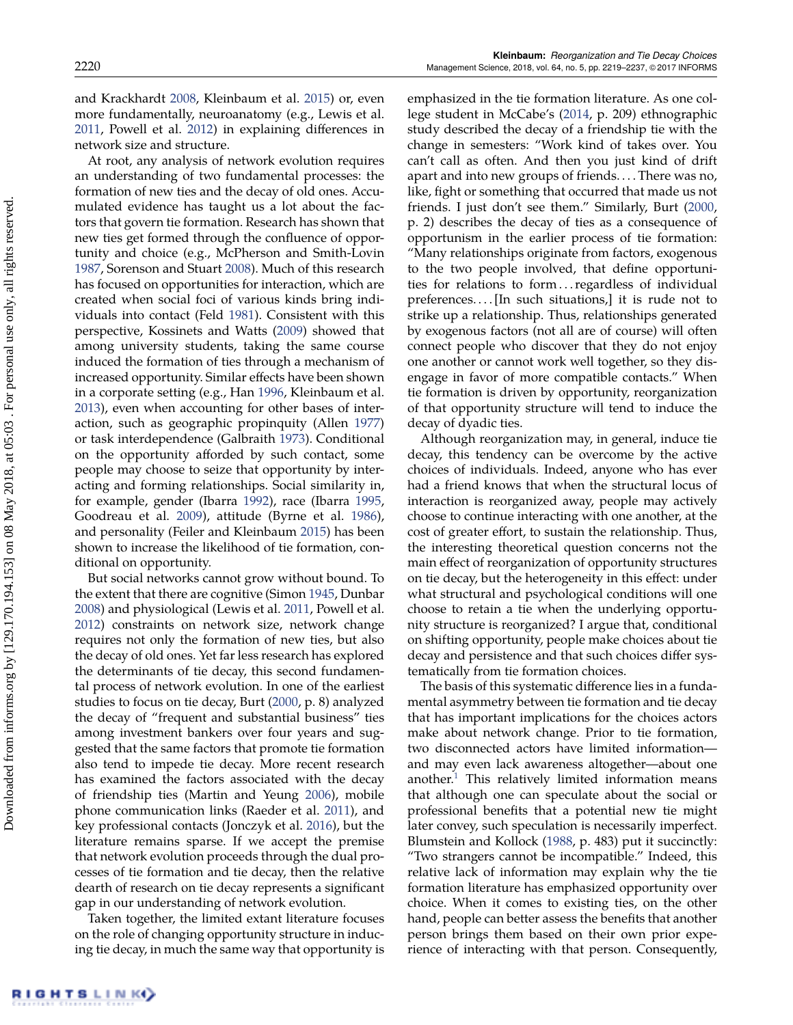and Krackhardt [2008,](#page-17-7) Kleinbaum et al. [2015\)](#page-17-8) or, even more fundamentally, neuroanatomy (e.g., Lewis et al. [2011,](#page-18-6) Powell et al. [2012\)](#page-18-7) in explaining differences in network size and structure.

At root, any analysis of network evolution requires an understanding of two fundamental processes: the formation of new ties and the decay of old ones. Accumulated evidence has taught us a lot about the factors that govern tie formation. Research has shown that new ties get formed through the confluence of opportunity and choice (e.g., McPherson and Smith-Lovin [1987,](#page-18-8) Sorenson and Stuart [2008\)](#page-18-9). Much of this research has focused on opportunities for interaction, which are created when social foci of various kinds bring individuals into contact (Feld [1981\)](#page-17-2). Consistent with this perspective, Kossinets and Watts [\(2009\)](#page-17-9) showed that among university students, taking the same course induced the formation of ties through a mechanism of increased opportunity. Similar effects have been shown in a corporate setting (e.g., Han [1996,](#page-17-10) Kleinbaum et al. [2013\)](#page-17-11), even when accounting for other bases of interaction, such as geographic propinquity (Allen [1977\)](#page-16-3) or task interdependence (Galbraith [1973\)](#page-17-12). Conditional on the opportunity afforded by such contact, some people may choose to seize that opportunity by interacting and forming relationships. Social similarity in, for example, gender (Ibarra [1992\)](#page-17-13), race (Ibarra [1995,](#page-17-14) Goodreau et al. [2009\)](#page-17-15), attitude (Byrne et al. [1986\)](#page-17-16), and personality (Feiler and Kleinbaum [2015\)](#page-17-17) has been shown to increase the likelihood of tie formation, conditional on opportunity.

But social networks cannot grow without bound. To the extent that there are cognitive (Simon [1945,](#page-18-10) Dunbar [2008\)](#page-17-18) and physiological (Lewis et al. [2011,](#page-18-6) Powell et al. [2012\)](#page-18-7) constraints on network size, network change requires not only the formation of new ties, but also the decay of old ones. Yet far less research has explored the determinants of tie decay, this second fundamental process of network evolution. In one of the earliest studies to focus on tie decay, Burt [\(2000,](#page-16-4) p. 8) analyzed the decay of "frequent and substantial business" ties among investment bankers over four years and suggested that the same factors that promote tie formation also tend to impede tie decay. More recent research has examined the factors associated with the decay of friendship ties (Martin and Yeung [2006\)](#page-18-11), mobile phone communication links (Raeder et al. [2011\)](#page-18-12), and key professional contacts (Jonczyk et al. [2016\)](#page-17-19), but the literature remains sparse. If we accept the premise that network evolution proceeds through the dual processes of tie formation and tie decay, then the relative dearth of research on tie decay represents a significant gap in our understanding of network evolution.

Taken together, the limited extant literature focuses on the role of changing opportunity structure in inducing tie decay, in much the same way that opportunity is emphasized in the tie formation literature. As one college student in McCabe's [\(2014,](#page-18-13) p. 209) ethnographic study described the decay of a friendship tie with the change in semesters: "Work kind of takes over. You can't call as often. And then you just kind of drift apart and into new groups of friends. . . . There was no, like, fight or something that occurred that made us not friends. I just don't see them." Similarly, Burt [\(2000,](#page-16-4) p. 2) describes the decay of ties as a consequence of opportunism in the earlier process of tie formation: "Many relationships originate from factors, exogenous to the two people involved, that define opportunities for relations to form...regardless of individual preferences. . . .[In such situations,] it is rude not to strike up a relationship. Thus, relationships generated by exogenous factors (not all are of course) will often connect people who discover that they do not enjoy one another or cannot work well together, so they disengage in favor of more compatible contacts." When tie formation is driven by opportunity, reorganization of that opportunity structure will tend to induce the decay of dyadic ties.

Although reorganization may, in general, induce tie decay, this tendency can be overcome by the active choices of individuals. Indeed, anyone who has ever had a friend knows that when the structural locus of interaction is reorganized away, people may actively choose to continue interacting with one another, at the cost of greater effort, to sustain the relationship. Thus, the interesting theoretical question concerns not the main effect of reorganization of opportunity structures on tie decay, but the heterogeneity in this effect: under what structural and psychological conditions will one choose to retain a tie when the underlying opportunity structure is reorganized? I argue that, conditional on shifting opportunity, people make choices about tie decay and persistence and that such choices differ systematically from tie formation choices.

<span id="page-1-0"></span>The basis of this systematic difference lies in a fundamental asymmetry between tie formation and tie decay that has important implications for the choices actors make about network change. Prior to tie formation, two disconnected actors have limited information and may even lack awareness altogether—about one another.<sup>[1](#page-16-5)</sup> This relatively limited information means that although one can speculate about the social or professional benefits that a potential new tie might later convey, such speculation is necessarily imperfect. Blumstein and Kollock [\(1988,](#page-16-6) p. 483) put it succinctly: "Two strangers cannot be incompatible." Indeed, this relative lack of information may explain why the tie formation literature has emphasized opportunity over choice. When it comes to existing ties, on the other hand, people can better assess the benefits that another person brings them based on their own prior experience of interacting with that person. Consequently,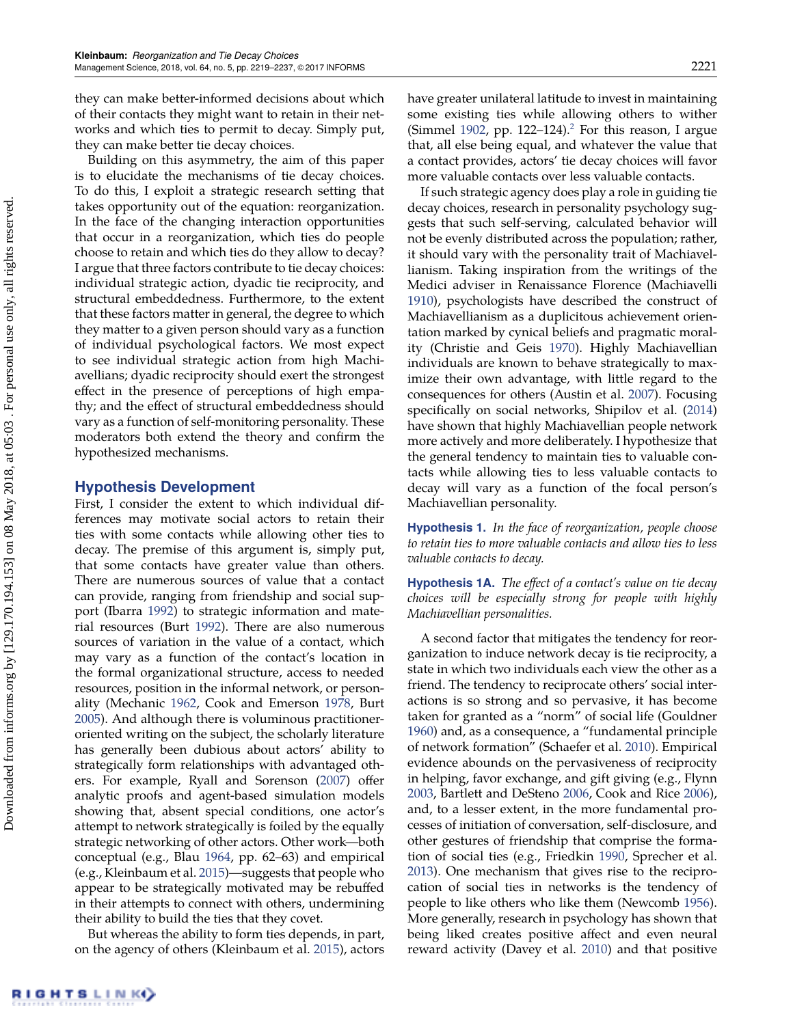they can make better-informed decisions about which of their contacts they might want to retain in their networks and which ties to permit to decay. Simply put, they can make better tie decay choices.

Building on this asymmetry, the aim of this paper is to elucidate the mechanisms of tie decay choices. To do this, I exploit a strategic research setting that takes opportunity out of the equation: reorganization. In the face of the changing interaction opportunities that occur in a reorganization, which ties do people choose to retain and which ties do they allow to decay? I argue that three factors contribute to tie decay choices: individual strategic action, dyadic tie reciprocity, and structural embeddedness. Furthermore, to the extent that these factors matter in general, the degree to which they matter to a given person should vary as a function of individual psychological factors. We most expect to see individual strategic action from high Machiavellians; dyadic reciprocity should exert the strongest effect in the presence of perceptions of high empathy; and the effect of structural embeddedness should vary as a function of self-monitoring personality. These moderators both extend the theory and confirm the hypothesized mechanisms.

# **Hypothesis Development**

First, I consider the extent to which individual differences may motivate social actors to retain their ties with some contacts while allowing other ties to decay. The premise of this argument is, simply put, that some contacts have greater value than others. There are numerous sources of value that a contact can provide, ranging from friendship and social support (Ibarra [1992\)](#page-17-13) to strategic information and material resources (Burt [1992\)](#page-16-0). There are also numerous sources of variation in the value of a contact, which may vary as a function of the contact's location in the formal organizational structure, access to needed resources, position in the informal network, or personality (Mechanic [1962,](#page-18-14) Cook and Emerson [1978,](#page-17-20) Burt [2005\)](#page-17-3). And although there is voluminous practitioneroriented writing on the subject, the scholarly literature has generally been dubious about actors' ability to strategically form relationships with advantaged others. For example, Ryall and Sorenson [\(2007\)](#page-18-15) offer analytic proofs and agent-based simulation models showing that, absent special conditions, one actor's attempt to network strategically is foiled by the equally strategic networking of other actors. Other work—both conceptual (e.g., Blau [1964,](#page-16-7) pp. 62–63) and empirical (e.g., Kleinbaum et al. [2015\)](#page-17-8)—suggests that people who appear to be strategically motivated may be rebuffed in their attempts to connect with others, undermining their ability to build the ties that they covet.

But whereas the ability to form ties depends, in part, on the agency of others (Kleinbaum et al. [2015\)](#page-17-8), actors

<span id="page-2-2"></span>If such strategic agency does play a role in guiding tie decay choices, research in personality psychology suggests that such self-serving, calculated behavior will not be evenly distributed across the population; rather, it should vary with the personality trait of Machiavellianism. Taking inspiration from the writings of the Medici adviser in Renaissance Florence (Machiavelli [1910\)](#page-18-17), psychologists have described the construct of Machiavellianism as a duplicitous achievement orientation marked by cynical beliefs and pragmatic morality (Christie and Geis [1970\)](#page-17-21). Highly Machiavellian individuals are known to behave strategically to maximize their own advantage, with little regard to the consequences for others (Austin et al. [2007\)](#page-16-9). Focusing specifically on social networks, Shipilov et al. [\(2014\)](#page-18-18) have shown that highly Machiavellian people network more actively and more deliberately. I hypothesize that the general tendency to maintain ties to valuable contacts while allowing ties to less valuable contacts to decay will vary as a function of the focal person's Machiavellian personality.

<span id="page-2-0"></span>**Hypothesis 1.** *In the face of reorganization, people choose to retain ties to more valuable contacts and allow ties to less valuable contacts to decay.*

<span id="page-2-1"></span>**Hypothesis 1A.** *The effect of a contact's value on tie decay choices will be especially strong for people with highly Machiavellian personalities.*

A second factor that mitigates the tendency for reorganization to induce network decay is tie reciprocity, a state in which two individuals each view the other as a friend. The tendency to reciprocate others' social interactions is so strong and so pervasive, it has become taken for granted as a "norm" of social life (Gouldner [1960\)](#page-17-22) and, as a consequence, a "fundamental principle of network formation" (Schaefer et al. [2010\)](#page-18-19). Empirical evidence abounds on the pervasiveness of reciprocity in helping, favor exchange, and gift giving (e.g., Flynn [2003,](#page-17-23) Bartlett and DeSteno [2006,](#page-16-10) Cook and Rice [2006\)](#page-17-24), and, to a lesser extent, in the more fundamental processes of initiation of conversation, self-disclosure, and other gestures of friendship that comprise the formation of social ties (e.g., Friedkin [1990,](#page-17-25) Sprecher et al. [2013\)](#page-18-20). One mechanism that gives rise to the reciprocation of social ties in networks is the tendency of people to like others who like them (Newcomb [1956\)](#page-18-21). More generally, research in psychology has shown that being liked creates positive affect and even neural reward activity (Davey et al. [2010\)](#page-17-26) and that positive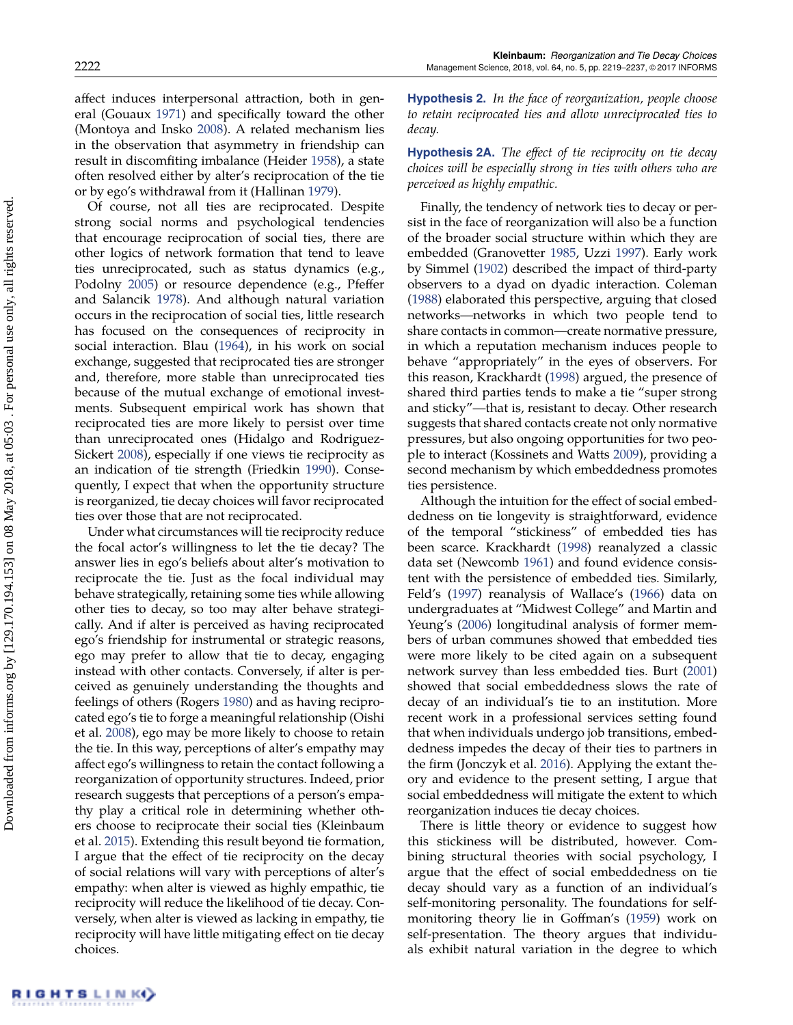affect induces interpersonal attraction, both in general (Gouaux [1971\)](#page-17-27) and specifically toward the other (Montoya and Insko [2008\)](#page-18-22). A related mechanism lies in the observation that asymmetry in friendship can result in discomfiting imbalance (Heider [1958\)](#page-17-28), a state often resolved either by alter's reciprocation of the tie or by ego's withdrawal from it (Hallinan [1979\)](#page-17-29).

Of course, not all ties are reciprocated. Despite strong social norms and psychological tendencies that encourage reciprocation of social ties, there are other logics of network formation that tend to leave ties unreciprocated, such as status dynamics (e.g., Podolny [2005\)](#page-18-23) or resource dependence (e.g., Pfeffer and Salancik [1978\)](#page-18-24). And although natural variation occurs in the reciprocation of social ties, little research has focused on the consequences of reciprocity in social interaction. Blau [\(1964\)](#page-16-7), in his work on social exchange, suggested that reciprocated ties are stronger and, therefore, more stable than unreciprocated ties because of the mutual exchange of emotional investments. Subsequent empirical work has shown that reciprocated ties are more likely to persist over time than unreciprocated ones (Hidalgo and Rodriguez-Sickert [2008\)](#page-17-30), especially if one views tie reciprocity as an indication of tie strength (Friedkin [1990\)](#page-17-25). Consequently, I expect that when the opportunity structure is reorganized, tie decay choices will favor reciprocated ties over those that are not reciprocated.

Under what circumstances will tie reciprocity reduce the focal actor's willingness to let the tie decay? The answer lies in ego's beliefs about alter's motivation to reciprocate the tie. Just as the focal individual may behave strategically, retaining some ties while allowing other ties to decay, so too may alter behave strategically. And if alter is perceived as having reciprocated ego's friendship for instrumental or strategic reasons, ego may prefer to allow that tie to decay, engaging instead with other contacts. Conversely, if alter is perceived as genuinely understanding the thoughts and feelings of others (Rogers [1980\)](#page-18-25) and as having reciprocated ego's tie to forge a meaningful relationship (Oishi et al. [2008\)](#page-18-26), ego may be more likely to choose to retain the tie. In this way, perceptions of alter's empathy may affect ego's willingness to retain the contact following a reorganization of opportunity structures. Indeed, prior research suggests that perceptions of a person's empathy play a critical role in determining whether others choose to reciprocate their social ties (Kleinbaum et al. [2015\)](#page-17-8). Extending this result beyond tie formation, I argue that the effect of tie reciprocity on the decay of social relations will vary with perceptions of alter's empathy: when alter is viewed as highly empathic, tie reciprocity will reduce the likelihood of tie decay. Conversely, when alter is viewed as lacking in empathy, tie reciprocity will have little mitigating effect on tie decay choices.

**Hypothesis 2.** *In the face of reorganization, people choose to retain reciprocated ties and allow unreciprocated ties to decay.*

<span id="page-3-1"></span>**Hypothesis 2A.** *The effect of tie reciprocity on tie decay choices will be especially strong in ties with others who are perceived as highly empathic.*

Finally, the tendency of network ties to decay or persist in the face of reorganization will also be a function of the broader social structure within which they are embedded (Granovetter [1985,](#page-17-31) Uzzi [1997\)](#page-18-27). Early work by Simmel [\(1902\)](#page-18-16) described the impact of third-party observers to a dyad on dyadic interaction. Coleman [\(1988\)](#page-17-32) elaborated this perspective, arguing that closed networks—networks in which two people tend to share contacts in common—create normative pressure, in which a reputation mechanism induces people to behave "appropriately" in the eyes of observers. For this reason, Krackhardt [\(1998\)](#page-17-33) argued, the presence of shared third parties tends to make a tie "super strong and sticky"—that is, resistant to decay. Other research suggests that shared contacts create not only normative pressures, but also ongoing opportunities for two people to interact (Kossinets and Watts [2009\)](#page-17-9), providing a second mechanism by which embeddedness promotes ties persistence.

Although the intuition for the effect of social embeddedness on tie longevity is straightforward, evidence of the temporal "stickiness" of embedded ties has been scarce. Krackhardt [\(1998\)](#page-17-33) reanalyzed a classic data set (Newcomb [1961\)](#page-18-28) and found evidence consistent with the persistence of embedded ties. Similarly, Feld's [\(1997\)](#page-17-6) reanalysis of Wallace's [\(1966\)](#page-18-29) data on undergraduates at "Midwest College" and Martin and Yeung's [\(2006\)](#page-18-11) longitudinal analysis of former members of urban communes showed that embedded ties were more likely to be cited again on a subsequent network survey than less embedded ties. Burt [\(2001\)](#page-17-34) showed that social embeddedness slows the rate of decay of an individual's tie to an institution. More recent work in a professional services setting found that when individuals undergo job transitions, embeddedness impedes the decay of their ties to partners in the firm (Jonczyk et al. [2016\)](#page-17-19). Applying the extant theory and evidence to the present setting, I argue that social embeddedness will mitigate the extent to which reorganization induces tie decay choices.

<span id="page-3-0"></span>There is little theory or evidence to suggest how this stickiness will be distributed, however. Combining structural theories with social psychology, I argue that the effect of social embeddedness on tie decay should vary as a function of an individual's self-monitoring personality. The foundations for selfmonitoring theory lie in Goffman's [\(1959\)](#page-17-35) work on self-presentation. The theory argues that individuals exhibit natural variation in the degree to which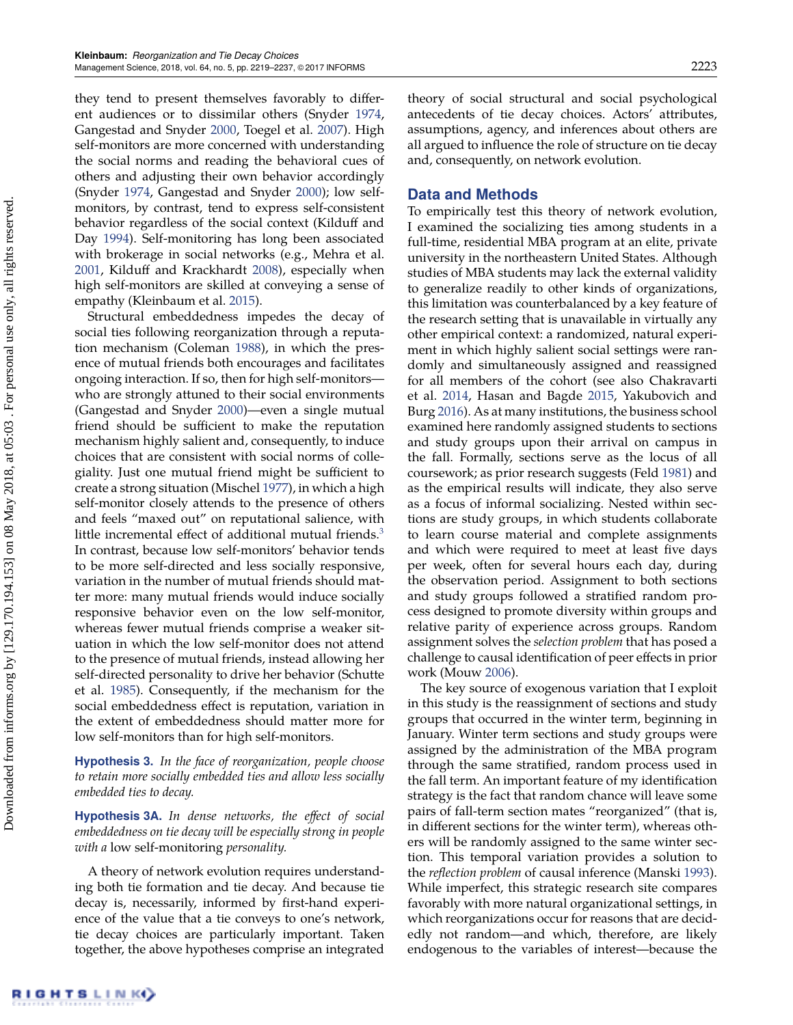they tend to present themselves favorably to different audiences or to dissimilar others (Snyder [1974,](#page-18-30) Gangestad and Snyder [2000,](#page-17-36) Toegel et al. [2007\)](#page-18-31). High self-monitors are more concerned with understanding the social norms and reading the behavioral cues of others and adjusting their own behavior accordingly (Snyder [1974,](#page-18-30) Gangestad and Snyder [2000\)](#page-17-36); low selfmonitors, by contrast, tend to express self-consistent behavior regardless of the social context (Kilduff and Day [1994\)](#page-17-37). Self-monitoring has long been associated with brokerage in social networks (e.g., Mehra et al. [2001,](#page-18-32) Kilduff and Krackhardt [2008\)](#page-17-7), especially when high self-monitors are skilled at conveying a sense of empathy (Kleinbaum et al. [2015\)](#page-17-8).

Structural embeddedness impedes the decay of social ties following reorganization through a reputation mechanism (Coleman [1988\)](#page-17-32), in which the presence of mutual friends both encourages and facilitates ongoing interaction. If so, then for high self-monitors who are strongly attuned to their social environments (Gangestad and Snyder [2000\)](#page-17-36)—even a single mutual friend should be sufficient to make the reputation mechanism highly salient and, consequently, to induce choices that are consistent with social norms of collegiality. Just one mutual friend might be sufficient to create a strong situation (Mischel [1977\)](#page-18-33), in which a high self-monitor closely attends to the presence of others and feels "maxed out" on reputational salience, with little incremental effect of additional mutual friends.<sup>[3](#page-16-11)</sup> In contrast, because low self-monitors' behavior tends to be more self-directed and less socially responsive, variation in the number of mutual friends should matter more: many mutual friends would induce socially responsive behavior even on the low self-monitor, whereas fewer mutual friends comprise a weaker situation in which the low self-monitor does not attend to the presence of mutual friends, instead allowing her self-directed personality to drive her behavior (Schutte et al. [1985\)](#page-18-34). Consequently, if the mechanism for the social embeddedness effect is reputation, variation in the extent of embeddedness should matter more for low self-monitors than for high self-monitors.

<span id="page-4-0"></span>**Hypothesis 3.** *In the face of reorganization, people choose to retain more socially embedded ties and allow less socially embedded ties to decay.*

<span id="page-4-1"></span>**Hypothesis 3A.** *In dense networks, the effect of social embeddedness on tie decay will be especially strong in people with a* low self-monitoring *personality.*

A theory of network evolution requires understanding both tie formation and tie decay. And because tie decay is, necessarily, informed by first-hand experience of the value that a tie conveys to one's network, tie decay choices are particularly important. Taken together, the above hypotheses comprise an integrated theory of social structural and social psychological antecedents of tie decay choices. Actors' attributes, assumptions, agency, and inferences about others are all argued to influence the role of structure on tie decay and, consequently, on network evolution.

# **Data and Methods**

To empirically test this theory of network evolution, I examined the socializing ties among students in a full-time, residential MBA program at an elite, private university in the northeastern United States. Although studies of MBA students may lack the external validity to generalize readily to other kinds of organizations, this limitation was counterbalanced by a key feature of the research setting that is unavailable in virtually any other empirical context: a randomized, natural experiment in which highly salient social settings were randomly and simultaneously assigned and reassigned for all members of the cohort (see also Chakravarti et al. [2014,](#page-17-38) Hasan and Bagde [2015,](#page-17-39) Yakubovich and Burg [2016\)](#page-18-35). As at many institutions, the business school examined here randomly assigned students to sections and study groups upon their arrival on campus in the fall. Formally, sections serve as the locus of all coursework; as prior research suggests (Feld [1981\)](#page-17-2) and as the empirical results will indicate, they also serve as a focus of informal socializing. Nested within sections are study groups, in which students collaborate to learn course material and complete assignments and which were required to meet at least five days per week, often for several hours each day, during the observation period. Assignment to both sections and study groups followed a stratified random process designed to promote diversity within groups and relative parity of experience across groups. Random assignment solves the *selection problem* that has posed a challenge to causal identification of peer effects in prior work (Mouw [2006\)](#page-18-36).

<span id="page-4-2"></span>The key source of exogenous variation that I exploit in this study is the reassignment of sections and study groups that occurred in the winter term, beginning in January. Winter term sections and study groups were assigned by the administration of the MBA program through the same stratified, random process used in the fall term. An important feature of my identification strategy is the fact that random chance will leave some pairs of fall-term section mates "reorganized" (that is, in different sections for the winter term), whereas others will be randomly assigned to the same winter section. This temporal variation provides a solution to the *reflection problem* of causal inference (Manski [1993\)](#page-18-37). While imperfect, this strategic research site compares favorably with more natural organizational settings, in which reorganizations occur for reasons that are decidedly not random—and which, therefore, are likely endogenous to the variables of interest—because the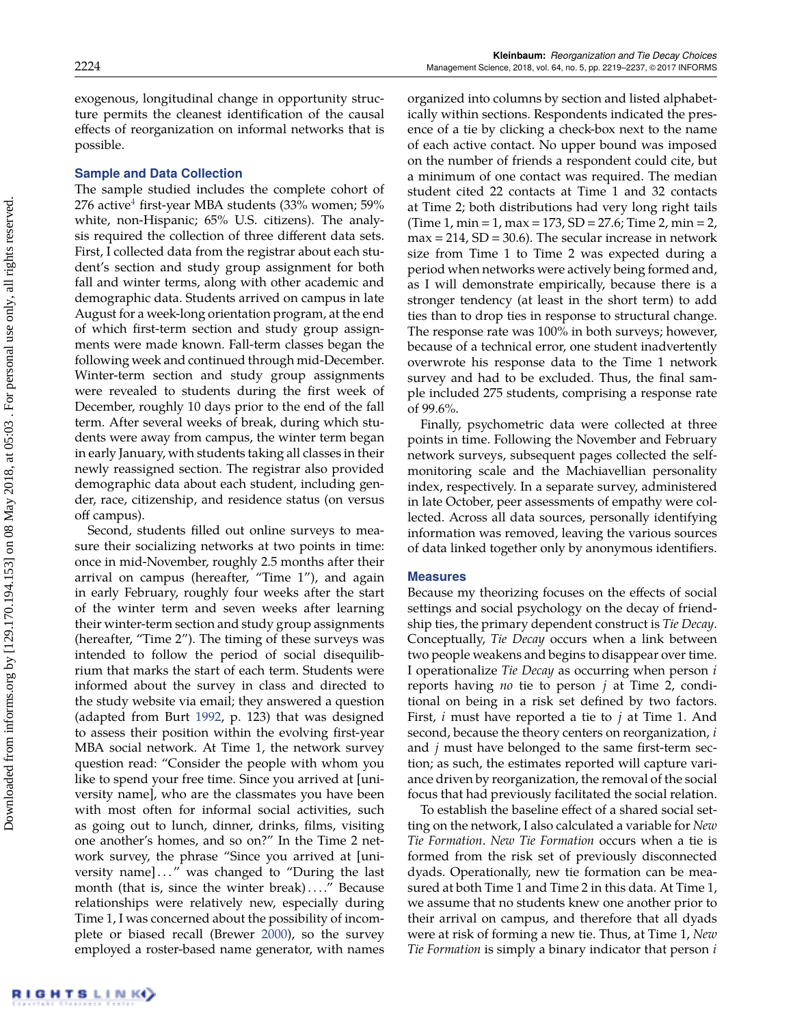exogenous, longitudinal change in opportunity structure permits the cleanest identification of the causal effects of reorganization on informal networks that is possible.

## **Sample and Data Collection**

<span id="page-5-0"></span>The sample studied includes the complete cohort of  $276$  active<sup>[4](#page-16-12)</sup> first-year MBA students (33% women; 59% white, non-Hispanic; 65% U.S. citizens). The analysis required the collection of three different data sets. First, I collected data from the registrar about each student's section and study group assignment for both fall and winter terms, along with other academic and demographic data. Students arrived on campus in late August for a week-long orientation program, at the end of which first-term section and study group assignments were made known. Fall-term classes began the following week and continued through mid-December. Winter-term section and study group assignments were revealed to students during the first week of December, roughly 10 days prior to the end of the fall term. After several weeks of break, during which students were away from campus, the winter term began in early January, with students taking all classes in their newly reassigned section. The registrar also provided demographic data about each student, including gender, race, citizenship, and residence status (on versus off campus).

Second, students filled out online surveys to measure their socializing networks at two points in time: once in mid-November, roughly 2.5 months after their arrival on campus (hereafter, "Time 1"), and again in early February, roughly four weeks after the start of the winter term and seven weeks after learning their winter-term section and study group assignments (hereafter, "Time 2"). The timing of these surveys was intended to follow the period of social disequilibrium that marks the start of each term. Students were informed about the survey in class and directed to the study website via email; they answered a question (adapted from Burt [1992,](#page-16-0) p. 123) that was designed to assess their position within the evolving first-year MBA social network. At Time 1, the network survey question read: "Consider the people with whom you like to spend your free time. Since you arrived at [university name], who are the classmates you have been with most often for informal social activities, such as going out to lunch, dinner, drinks, films, visiting one another's homes, and so on?" In the Time 2 network survey, the phrase "Since you arrived at [university name]..." was changed to "During the last month (that is, since the winter break). . . ." Because relationships were relatively new, especially during Time 1, I was concerned about the possibility of incomplete or biased recall (Brewer [2000\)](#page-16-13), so the survey employed a roster-based name generator, with names

organized into columns by section and listed alphabetically within sections. Respondents indicated the presence of a tie by clicking a check-box next to the name of each active contact. No upper bound was imposed on the number of friends a respondent could cite, but a minimum of one contact was required. The median student cited 22 contacts at Time 1 and 32 contacts at Time 2; both distributions had very long right tails (Time 1, min = 1, max = 173, SD = 27.6; Time 2, min = 2,  $max = 214$ ,  $SD = 30.6$ ). The secular increase in network size from Time 1 to Time 2 was expected during a period when networks were actively being formed and, as I will demonstrate empirically, because there is a stronger tendency (at least in the short term) to add ties than to drop ties in response to structural change. The response rate was 100% in both surveys; however, because of a technical error, one student inadvertently overwrote his response data to the Time 1 network survey and had to be excluded. Thus, the final sample included 275 students, comprising a response rate of 99.6%.

Finally, psychometric data were collected at three points in time. Following the November and February network surveys, subsequent pages collected the selfmonitoring scale and the Machiavellian personality index, respectively. In a separate survey, administered in late October, peer assessments of empathy were collected. Across all data sources, personally identifying information was removed, leaving the various sources of data linked together only by anonymous identifiers.

## **Measures**

Because my theorizing focuses on the effects of social settings and social psychology on the decay of friendship ties, the primary dependent construct is *Tie Decay*. Conceptually, *Tie Decay* occurs when a link between two people weakens and begins to disappear over time. I operationalize *Tie Decay* as occurring when person *i* reports having *no* tie to person *j* at Time 2, conditional on being in a risk set defined by two factors. First, *i* must have reported a tie to *j* at Time 1. And second, because the theory centers on reorganization, *i* and *j* must have belonged to the same first-term section; as such, the estimates reported will capture variance driven by reorganization, the removal of the social focus that had previously facilitated the social relation.

To establish the baseline effect of a shared social setting on the network, I also calculated a variable for *New Tie Formation*. *New Tie Formation* occurs when a tie is formed from the risk set of previously disconnected dyads. Operationally, new tie formation can be measured at both Time 1 and Time 2 in this data. At Time 1, we assume that no students knew one another prior to their arrival on campus, and therefore that all dyads were at risk of forming a new tie. Thus, at Time 1, *New Tie Formation* is simply a binary indicator that person *i*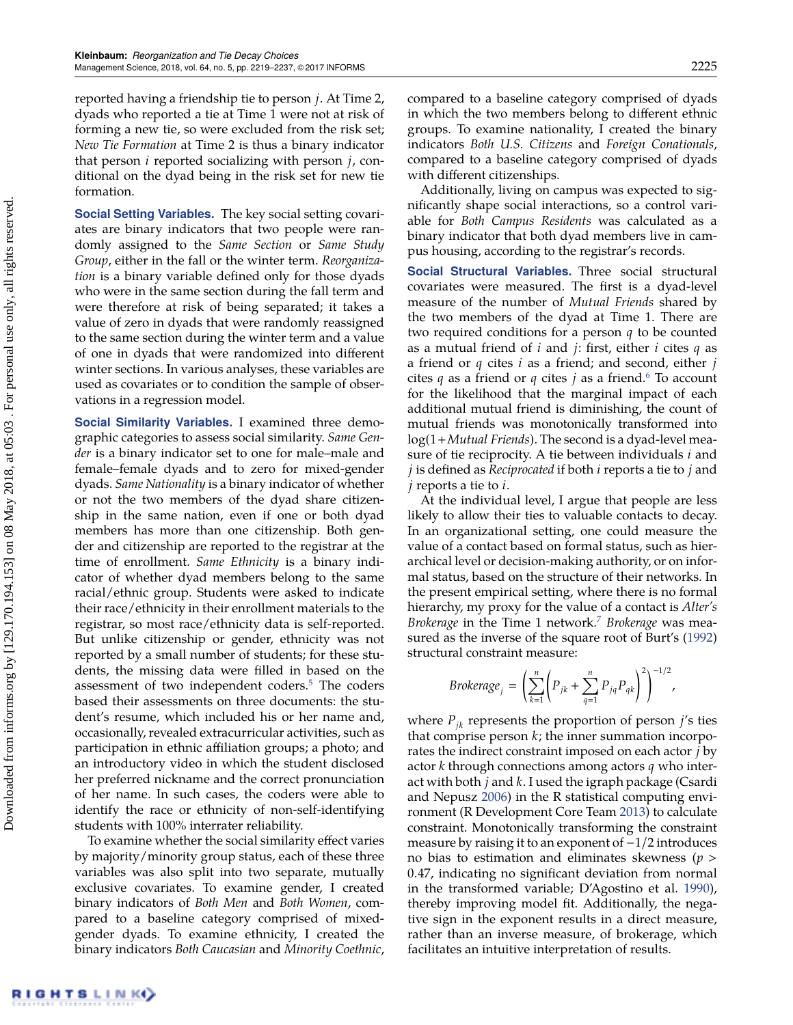reported having a friendship tie to person *j*. At Time 2, dyads who reported a tie at Time 1 were not at risk of forming a new tie, so were excluded from the risk set; *New Tie Formation* at Time 2 is thus a binary indicator that person *i* reported socializing with person *j*, conditional on the dyad being in the risk set for new tie formation.

**Social Setting Variables.** The key social setting covariates are binary indicators that two people were randomly assigned to the *Same Section* or *Same Study Group*, either in the fall or the winter term. *Reorganization* is a binary variable defined only for those dyads who were in the same section during the fall term and were therefore at risk of being separated; it takes a value of zero in dyads that were randomly reassigned to the same section during the winter term and a value of one in dyads that were randomized into different winter sections. In various analyses, these variables are used as covariates or to condition the sample of observations in a regression model.

**Social Similarity Variables.** I examined three demographic categories to assess social similarity. *Same Gender* is a binary indicator set to one for male–male and female–female dyads and to zero for mixed-gender dyads. *Same Nationality* is a binary indicator of whether or not the two members of the dyad share citizenship in the same nation, even if one or both dyad members has more than one citizenship. Both gender and citizenship are reported to the registrar at the time of enrollment. *Same Ethnicity* is a binary indicator of whether dyad members belong to the same racial/ethnic group. Students were asked to indicate their race/ethnicity in their enrollment materials to the registrar, so most race/ethnicity data is self-reported. But unlike citizenship or gender, ethnicity was not reported by a small number of students; for these students, the missing data were filled in based on the assessment of two independent coders.<sup>[5](#page-16-14)</sup> The coders based their assessments on three documents: the student's resume, which included his or her name and, occasionally, revealed extracurricular activities, such as participation in ethnic affiliation groups; a photo; and an introductory video in which the student disclosed her preferred nickname and the correct pronunciation of her name. In such cases, the coders were able to identify the race or ethnicity of non-self-identifying students with 100% interrater reliability.

To examine whether the social similarity effect varies by majority/minority group status, each of these three variables was also split into two separate, mutually exclusive covariates. To examine gender, I created binary indicators of *Both Men* and *Both Women*, compared to a baseline category comprised of mixedgender dyads. To examine ethnicity, I created the binary indicators *Both Caucasian* and *Minority Coethnic*,

compared to a baseline category comprised of dyads in which the two members belong to different ethnic groups. To examine nationality, I created the binary indicators *Both U.S. Citizens* and *Foreign Conationals*, compared to a baseline category comprised of dyads with different citizenships.

Additionally, living on campus was expected to significantly shape social interactions, so a control variable for *Both Campus Residents* was calculated as a binary indicator that both dyad members live in campus housing, according to the registrar's records.

<span id="page-6-1"></span>**Social Structural Variables.** Three social structural covariates were measured. The first is a dyad-level measure of the number of *Mutual Friends* shared by the two members of the dyad at Time 1. There are two required conditions for a person *q* to be counted as a mutual friend of *i* and *j*: first, either *i* cites *q* as a friend or *q* cites *i* as a friend; and second, either *j* cites *q* as a friend or *q* cites *j* as a friend.<sup>[6](#page-16-15)</sup> To account for the likelihood that the marginal impact of each additional mutual friend is diminishing, the count of mutual friends was monotonically transformed into log(1+*Mutual Friends*). The second is a dyad-level measure of tie reciprocity. A tie between individuals *i* and *j* is defined as *Reciprocated* if both *i* reports a tie to *j* and *j* reports a tie to *i*.

At the individual level, I argue that people are less likely to allow their ties to valuable contacts to decay. In an organizational setting, one could measure the value of a contact based on formal status, such as hierarchical level or decision-making authority, or on informal status, based on the structure of their networks. In the present empirical setting, where there is no formal hierarchy, my proxy for the value of a contact is *Alter's Brokerage* in the Time 1 network.[7](#page-16-16) *Brokerage* was measured as the inverse of the square root of Burt's [\(1992\)](#page-16-0) structural constraint measure:

<span id="page-6-2"></span>*Brokerage*<sub>j</sub> = 
$$
\left(\sum_{k=1}^{n} \left(P_{jk} + \sum_{q=1}^{n} P_{jq} P_{qk}\right)^2\right)^{-1/2}
$$
,

<span id="page-6-0"></span>where  $P_{jk}$  represents the proportion of person *j*'s ties that comprise person *k*; the inner summation incorporates the indirect constraint imposed on each actor *j* by actor *k* through connections among actors *q* who interact with both *j* and *k*. I used the igraph package (Csardi and Nepusz [2006\)](#page-17-40) in the R statistical computing environment (R Development Core Team [2013\)](#page-18-38) to calculate constraint. Monotonically transforming the constraint measure by raising it to an exponent of −1/2 introduces no bias to estimation and eliminates skewness (*p* > 0.47, indicating no significant deviation from normal in the transformed variable; D'Agostino et al. [1990\)](#page-17-41), thereby improving model fit. Additionally, the negative sign in the exponent results in a direct measure, rather than an inverse measure, of brokerage, which facilitates an intuitive interpretation of results.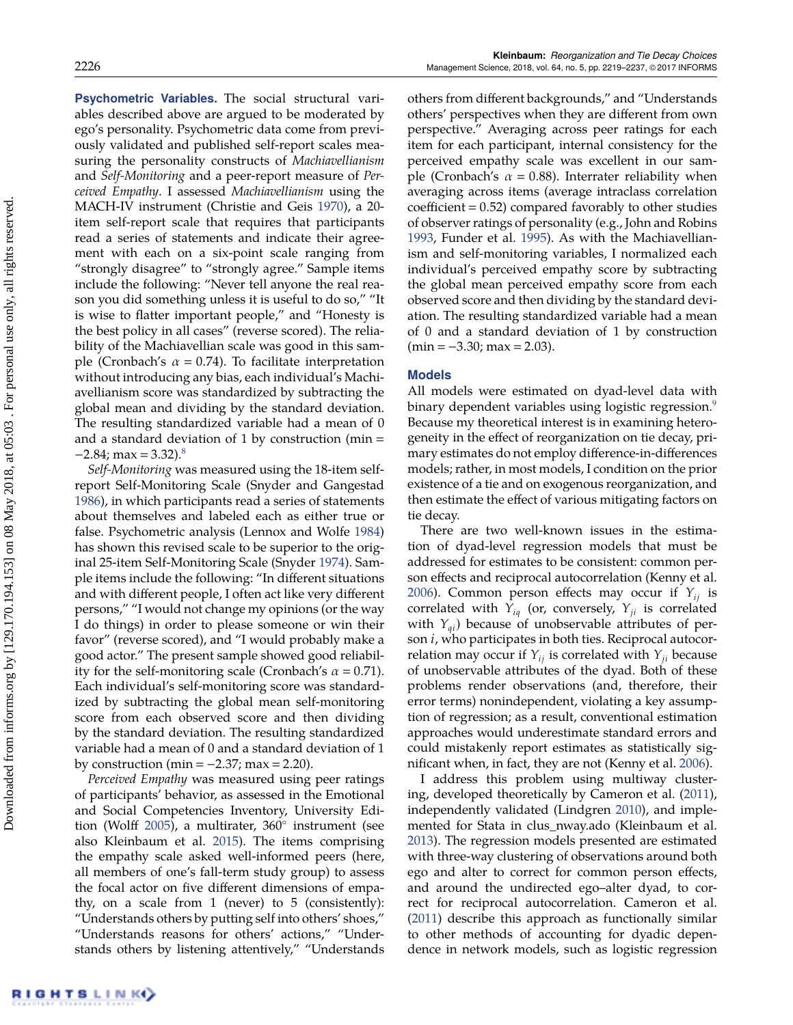**Psychometric Variables.** The social structural variables described above are argued to be moderated by ego's personality. Psychometric data come from previously validated and published self-report scales measuring the personality constructs of *Machiavellianism* and *Self-Monitoring* and a peer-report measure of *Perceived Empathy*. I assessed *Machiavellianism* using the MACH-IV instrument (Christie and Geis [1970\)](#page-17-21), a 20 item self-report scale that requires that participants read a series of statements and indicate their agreement with each on a six-point scale ranging from "strongly disagree" to "strongly agree." Sample items include the following: "Never tell anyone the real reason you did something unless it is useful to do so," "It is wise to flatter important people," and "Honesty is the best policy in all cases" (reverse scored). The reliability of the Machiavellian scale was good in this sample (Cronbach's  $\alpha = 0.74$ ). To facilitate interpretation without introducing any bias, each individual's Machiavellianism score was standardized by subtracting the global mean and dividing by the standard deviation. The resulting standardized variable had a mean of 0 and a standard deviation of 1 by construction (min  $-2.84$  $-2.84$  $-2.84$ ; max = 3.32).<sup>8</sup>

<span id="page-7-0"></span>*Self-Monitoring* was measured using the 18-item selfreport Self-Monitoring Scale (Snyder and Gangestad [1986\)](#page-18-39), in which participants read a series of statements about themselves and labeled each as either true or false. Psychometric analysis (Lennox and Wolfe [1984\)](#page-18-40) has shown this revised scale to be superior to the original 25-item Self-Monitoring Scale (Snyder [1974\)](#page-18-30). Sample items include the following: "In different situations and with different people, I often act like very different persons," "I would not change my opinions (or the way I do things) in order to please someone or win their favor" (reverse scored), and "I would probably make a good actor." The present sample showed good reliability for the self-monitoring scale (Cronbach's  $\alpha = 0.71$ ). Each individual's self-monitoring score was standardized by subtracting the global mean self-monitoring score from each observed score and then dividing by the standard deviation. The resulting standardized variable had a mean of 0 and a standard deviation of 1 by construction (min  $=-2.37$ ; max  $= 2.20$ ).

*Perceived Empathy* was measured using peer ratings of participants' behavior, as assessed in the Emotional and Social Competencies Inventory, University Edition (Wolff [2005\)](#page-18-41), a multirater, 360◦ instrument (see also Kleinbaum et al. [2015\)](#page-17-8). The items comprising the empathy scale asked well-informed peers (here, all members of one's fall-term study group) to assess the focal actor on five different dimensions of empathy, on a scale from 1 (never) to 5 (consistently): "Understands others by putting self into others' shoes," "Understands reasons for others' actions," "Understands others by listening attentively," "Understands others from different backgrounds," and "Understands others' perspectives when they are different from own perspective." Averaging across peer ratings for each item for each participant, internal consistency for the perceived empathy scale was excellent in our sample (Cronbach's  $\alpha = 0.88$ ). Interrater reliability when averaging across items (average intraclass correlation  $coefficient = 0.52$ ) compared favorably to other studies of observer ratings of personality (e.g., John and Robins [1993,](#page-17-42) Funder et al. [1995\)](#page-17-43). As with the Machiavellianism and self-monitoring variables, I normalized each individual's perceived empathy score by subtracting the global mean perceived empathy score from each observed score and then dividing by the standard deviation. The resulting standardized variable had a mean of 0 and a standard deviation of 1 by construction  $(min = -3.30; max = 2.03).$ 

#### **Models**

<span id="page-7-1"></span>All models were estimated on dyad-level data with binary dependent variables using logistic regression.<sup>[9](#page-16-18)</sup> Because my theoretical interest is in examining heterogeneity in the effect of reorganization on tie decay, primary estimates do not employ difference-in-differences models; rather, in most models, I condition on the prior existence of a tie and on exogenous reorganization, and then estimate the effect of various mitigating factors on tie decay.

There are two well-known issues in the estimation of dyad-level regression models that must be addressed for estimates to be consistent: common person effects and reciprocal autocorrelation (Kenny et al. [2006\)](#page-17-44). Common person effects may occur if  $Y_{ij}$  is correlated with  $Y_{iq}$  (or, conversely,  $Y_{ji}$  is correlated with *Yqi*) because of unobservable attributes of person *i*, who participates in both ties. Reciprocal autocorrelation may occur if  $Y_{ii}$  is correlated with  $Y_{ii}$  because of unobservable attributes of the dyad. Both of these problems render observations (and, therefore, their error terms) nonindependent, violating a key assumption of regression; as a result, conventional estimation approaches would underestimate standard errors and could mistakenly report estimates as statistically significant when, in fact, they are not (Kenny et al. [2006\)](#page-17-44).

I address this problem using multiway clustering, developed theoretically by Cameron et al. [\(2011\)](#page-17-45), independently validated (Lindgren [2010\)](#page-18-42), and implemented for Stata in clus\_nway.ado (Kleinbaum et al. [2013\)](#page-17-11). The regression models presented are estimated with three-way clustering of observations around both ego and alter to correct for common person effects, and around the undirected ego–alter dyad, to correct for reciprocal autocorrelation. Cameron et al. [\(2011\)](#page-17-45) describe this approach as functionally similar to other methods of accounting for dyadic dependence in network models, such as logistic regression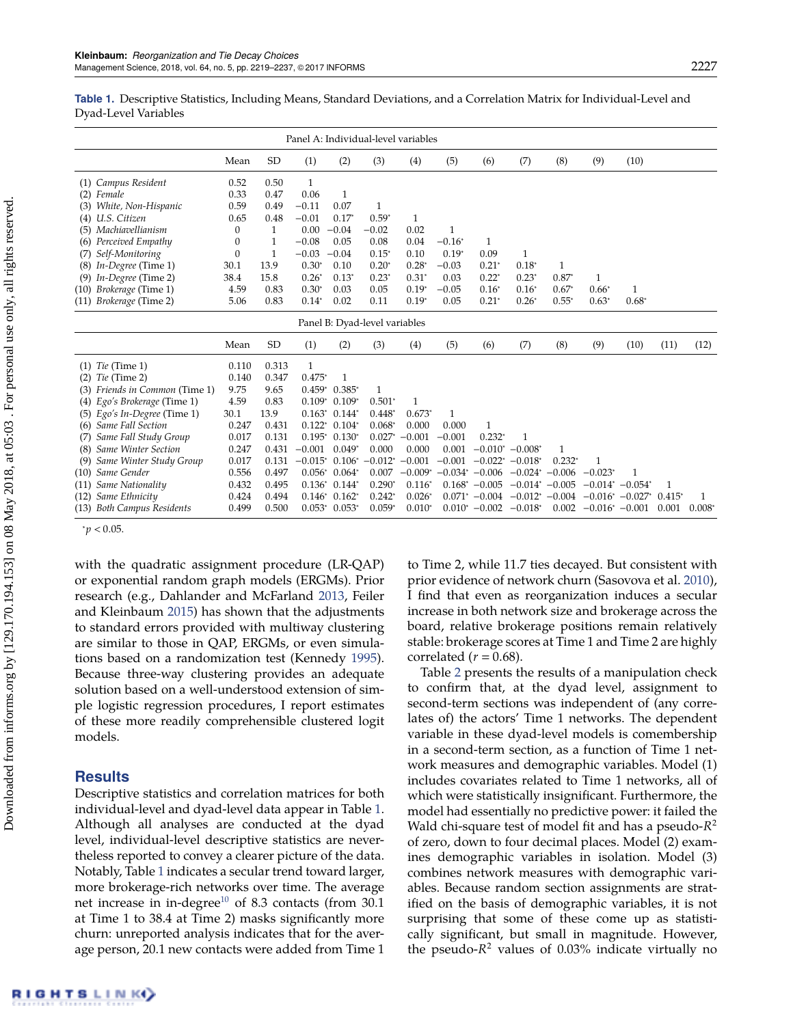|      |                              |              |              |              |              | Panel A: Individual-level variables |              |          |                                                      |                     |                      |                                             |              |          |          |
|------|------------------------------|--------------|--------------|--------------|--------------|-------------------------------------|--------------|----------|------------------------------------------------------|---------------------|----------------------|---------------------------------------------|--------------|----------|----------|
|      |                              | Mean         | <b>SD</b>    | (1)          | (2)          | (3)                                 | (4)          | (5)      | (6)                                                  | (7)                 | (8)                  | (9)                                         | (10)         |          |          |
| (1)  | Campus Resident              | 0.52         | 0.50         | $\mathbf{1}$ |              |                                     |              |          |                                                      |                     |                      |                                             |              |          |          |
|      | (2) Female                   | 0.33         | 0.47         | 0.06         | $\mathbf{1}$ |                                     |              |          |                                                      |                     |                      |                                             |              |          |          |
| (3)  | White, Non-Hispanic          | 0.59         | 0.49         | $-0.11$      | 0.07         | 1                                   |              |          |                                                      |                     |                      |                                             |              |          |          |
|      | (4) U.S. Citizen             | 0.65         | 0.48         | $-0.01$      | $0.17*$      | $0.59*$                             | $\mathbf{1}$ |          |                                                      |                     |                      |                                             |              |          |          |
| (5)  | Machiavellianism             | $\mathbf{0}$ | $\mathbf{1}$ | 0.00         | $-0.04$      | $-0.02$                             | 0.02         | 1        |                                                      |                     |                      |                                             |              |          |          |
| (6)  | Perceived Empathy            | $\mathbf{0}$ | 1            | $-0.08$      | 0.05         | 0.08                                | 0.04         | $-0.16*$ | 1                                                    |                     |                      |                                             |              |          |          |
| (7)  | Self-Monitoring              | $\mathbf{0}$ | 1            | $-0.03$      | $-0.04$      | $0.15^{\circ}$                      | 0.10         | $0.19*$  | 0.09                                                 | 1                   |                      |                                             |              |          |          |
|      | $(8)$ In-Degree (Time 1)     | 30.1         | 13.9         | $0.30*$      | 0.10         | $0.20*$                             | $0.28*$      | $-0.03$  | $0.21*$                                              | $0.18*$             | 1                    |                                             |              |          |          |
|      | (9) $In-Degree$ (Time 2)     | 38.4         | 15.8         | $0.26*$      | $0.13*$      | $0.23*$                             | $0.31*$      | 0.03     | $0.22*$                                              | $0.23*$             | $0.87*$              | $\mathbf{1}$                                |              |          |          |
| (10) | <i>Brokerage</i> (Time 1)    | 4.59         | 0.83         | $0.30*$      | 0.03         | 0.05                                | $0.19*$      | $-0.05$  | $0.16*$                                              | $0.16*$             | $0.67*$              | $0.66*$                                     | $\mathbf{1}$ |          |          |
|      | (11) Brokerage (Time 2)      | 5.06         | 0.83         | $0.14*$      | 0.02         | 0.11                                | $0.19*$      | 0.05     | $0.21*$                                              | $0.26*$             | $0.55*$              | $0.63*$                                     | $0.68*$      |          |          |
|      |                              |              |              |              |              | Panel B: Dyad-level variables       |              |          |                                                      |                     |                      |                                             |              |          |          |
|      |                              | Mean         | <b>SD</b>    | (1)          | (2)          | (3)                                 | (4)          | (5)      | (6)                                                  | (7)                 | (8)                  | (9)                                         | (10)         | (11)     | (12)     |
|      | $(1)$ Tie (Time 1)           | 0.110        | 0.313        | $\mathbf{1}$ |              |                                     |              |          |                                                      |                     |                      |                                             |              |          |          |
| (2)  | Tie (Time 2)                 | 0.140        | 0.347        | $0.475*$     | 1            |                                     |              |          |                                                      |                     |                      |                                             |              |          |          |
| (3)  | Friends in Common (Time 1)   | 9.75         | 9.65         | $0.459*$     | $0.385*$     | 1                                   |              |          |                                                      |                     |                      |                                             |              |          |          |
|      | (4) Ego's Brokerage (Time 1) | 4.59         | 0.83         | $0.109*$     | $0.109*$     | $0.501*$                            | 1            |          |                                                      |                     |                      |                                             |              |          |          |
| (5)  | Ego's In-Degree (Time 1)     | 30.1         | 13.9         | $0.163*$     | $0.144*$     | $0.448*$                            | $0.673*$     | 1        |                                                      |                     |                      |                                             |              |          |          |
|      | (6) Same Fall Section        | 0.247        | 0.431        | $0.122*$     | $0.104*$     | $0.068*$                            | 0.000        | 0.000    | 1                                                    |                     |                      |                                             |              |          |          |
| (7)  | Same Fall Study Group        | 0.017        | 0.131        | $0.195*$     | $0.130*$     | $0.027*$                            | $-0.001$     | $-0.001$ | $0.232*$                                             | 1                   |                      |                                             |              |          |          |
| (8)  | Same Winter Section          | 0.247        | 0.431        | $-0.001$     | $0.049*$     | 0.000                               | 0.000        | 0.001    | $-0.010*$                                            | $-0.008*$           | 1                    |                                             |              |          |          |
| (9)  | Same Winter Study Group      | 0.017        | 0.131        | $-0.015*$    | $0.106*$     | $-0.012*$                           | $-0.001$     |          | $-0.001$ $-0.022$ <sup>*</sup> $-0.018$ <sup>*</sup> |                     | $0.232$ <sup>*</sup> |                                             |              |          |          |
| (10) | Same Gender                  | 0.556        | 0.497        | $0.056*$     | $0.064*$     | 0.007                               | $-0.009*$    |          | $-0.034^*$ $-0.006$ $-0.024^*$ $-0.006$              |                     |                      | $-0.023*$                                   |              |          |          |
| (11) | Same Nationality             | 0.432        | 0.495        | $0.136*$     | $0.144*$     | $0.290*$                            | $0.116*$     |          | $0.168^* - 0.005$                                    | $-0.014^*$ $-0.005$ |                      | $-0.014^*$ $-0.054^*$                       |              |          |          |
| (12) | Same Ethnicity               | 0.424        | 0.494        | $0.146*$     | $0.162*$     | $0.242*$                            | $0.026*$     |          | $0.071^* - 0.004$                                    | $-0.012^*$ $-0.004$ |                      | $-0.016$ <sup>*</sup> $-0.027$ <sup>*</sup> |              | $0.415*$ | 1        |
| (13) | <b>Both Campus Residents</b> | 0.499        | 0.500        | $0.053*$     | $0.053*$     | $0.059*$                            | $0.010*$     |          | $0.010^* - 0.002 - 0.018^*$                          |                     |                      | $0.002 -0.016^* -0.001$                     |              | 0.001    | $0.008*$ |

<span id="page-8-0"></span>**Table 1.** Descriptive Statistics, Including Means, Standard Deviations, and a Correlation Matrix for Individual-Level and Dyad-Level Variables

<sup>∗</sup>*p* < 0.05.

with the quadratic assignment procedure (LR-QAP) or exponential random graph models (ERGMs). Prior research (e.g., Dahlander and McFarland [2013,](#page-17-46) Feiler and Kleinbaum [2015\)](#page-17-17) has shown that the adjustments to standard errors provided with multiway clustering are similar to those in QAP, ERGMs, or even simulations based on a randomization test (Kennedy [1995\)](#page-17-47). Because three-way clustering provides an adequate solution based on a well-understood extension of simple logistic regression procedures, I report estimates of these more readily comprehensible clustered logit models.

# **Results**

<span id="page-8-1"></span>Descriptive statistics and correlation matrices for both individual-level and dyad-level data appear in Table [1.](#page-8-0) Although all analyses are conducted at the dyad level, individual-level descriptive statistics are nevertheless reported to convey a clearer picture of the data. Notably, Table [1](#page-8-0) indicates a secular trend toward larger, more brokerage-rich networks over time. The average net increase in in-degree $10$  of 8.3 contacts (from 30.1 at Time 1 to 38.4 at Time 2) masks significantly more churn: unreported analysis indicates that for the average person, 20.1 new contacts were added from Time 1

to Time 2, while 11.7 ties decayed. But consistent with prior evidence of network churn (Sasovova et al. [2010\)](#page-18-43), I find that even as reorganization induces a secular increase in both network size and brokerage across the board, relative brokerage positions remain relatively stable: brokerage scores at Time 1 and Time 2 are highly correlated  $(r = 0.68)$ .

Table [2](#page-9-0) presents the results of a manipulation check to confirm that, at the dyad level, assignment to second-term sections was independent of (any correlates of) the actors' Time 1 networks. The dependent variable in these dyad-level models is comembership in a second-term section, as a function of Time 1 network measures and demographic variables. Model (1) includes covariates related to Time 1 networks, all of which were statistically insignificant. Furthermore, the model had essentially no predictive power: it failed the Wald chi-square test of model fit and has a pseudo-*R* 2 of zero, down to four decimal places. Model (2) examines demographic variables in isolation. Model (3) combines network measures with demographic variables. Because random section assignments are stratified on the basis of demographic variables, it is not surprising that some of these come up as statistically significant, but small in magnitude. However, the pseudo-*R* <sup>2</sup> values of 0.03% indicate virtually no

RIGHTSLINK()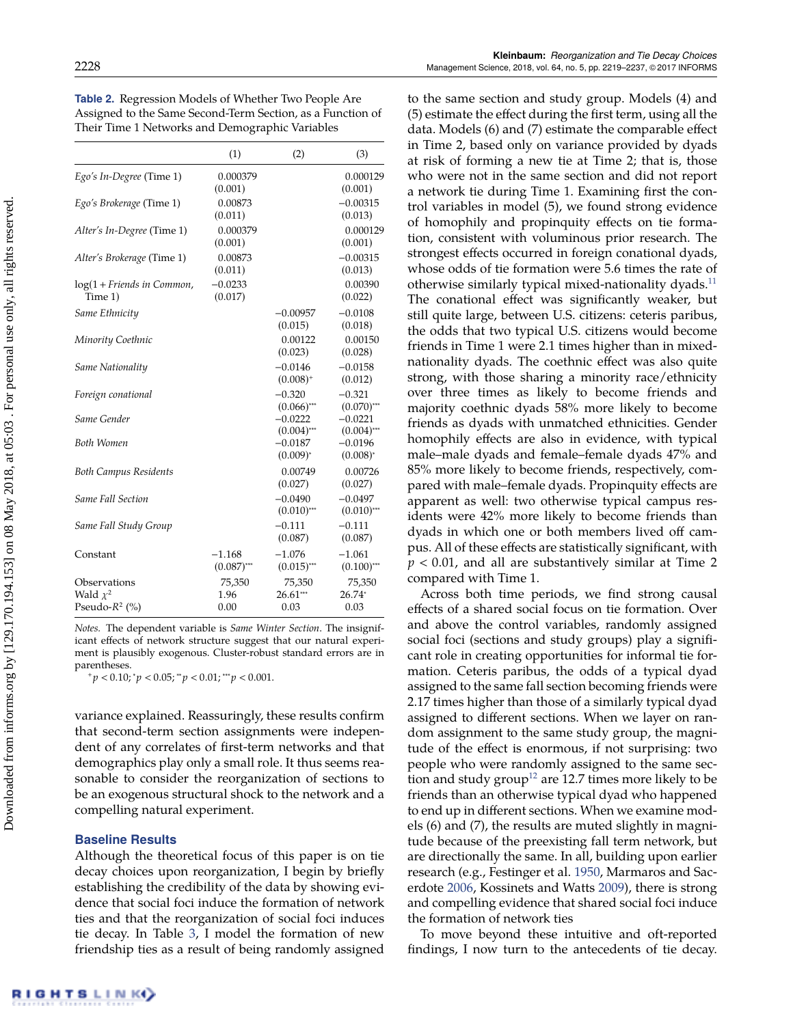|                                          | (1)                  | (2)                       | (3)                       |
|------------------------------------------|----------------------|---------------------------|---------------------------|
| Ego's In-Degree (Time 1)                 | 0.000379<br>(0.001)  |                           | 0.000129<br>(0.001)       |
| Ego's Brokerage (Time 1)                 | 0.00873<br>(0.011)   |                           | $-0.00315$<br>(0.013)     |
| Alter's In-Degree (Time 1)               | 0.000379<br>(0.001)  |                           | 0.000129<br>(0.001)       |
| Alter's Brokerage (Time 1)               | 0.00873<br>(0.011)   |                           | $-0.00315$<br>(0.013)     |
| $log(1 + F$ riends in Common,<br>Time 1) | $-0.0233$<br>(0.017) |                           | 0.00390<br>(0.022)        |
| Same Ethnicity                           |                      | $-0.00957$<br>(0.015)     | $-0.0108$<br>(0.018)      |
| Minority Coethnic                        |                      | 0.00122<br>(0.023)        | 0.00150<br>(0.028)        |
| Same Nationality                         |                      | $-0.0146$<br>$(0.008)^+$  | $-0.0158$<br>(0.012)      |
| Foreign conational                       |                      | $-0.320$<br>$(0.066)$ *** | $-0.321$<br>$(0.070)$ *** |
| Same Gender                              |                      | $-0.0222$                 | $-0.0221$                 |

*Both Women* −0.0187 −0.0196

*Both Campus Residents* 0.00749 0.00726

*Same Fall Section* −0.0490 −0.0497

*Same Fall Study Group* −0.111 −0.111

Constant −1.168 −1.076 −1.061  $(0.087)$ \*\*\*

Observations 75,350 75,350 75,350

2 1.96 26.61<sup>∗∗∗</sup> 26.74<sup>∗</sup>

(%) 0.00 0.03 0.03

 $(0.004)$ \*\*\*

 $(0.009)^{*}$ 

 $(0.010)$ \*\*\*

 $(0.015)$ \*\*\*

∗∗∗ (0.004) ∗∗∗

∗∗∗ (0.010) ∗∗∗

∗∗∗ (0.100) ∗∗∗

 $(0.027)$   $(0.027)$ 

 $(0.087)$   $(0.087)$ 

 $(0.008)^{*}$ 

<span id="page-9-0"></span>**Table 2.** Regression Models of Whether Two People Are Assigned to the Same Second-Term Section, as a Function of

*Notes.* The dependent variable is *Same Winter Section*. The insignificant effects of network structure suggest that our natural experiment is plausibly exogenous. Cluster-robust standard errors are in parentheses.

 $+p < 0.10; \,^{\circ} p < 0.05; \,^{\circ\circ} p < 0.01; \,^{\circ\circ\circ} p < 0.001.$ 

variance explained. Reassuringly, these results confirm that second-term section assignments were independent of any correlates of first-term networks and that demographics play only a small role. It thus seems reasonable to consider the reorganization of sections to be an exogenous structural shock to the network and a compelling natural experiment.

## **Baseline Results**

Wald  $\chi^2$ 

Pseudo-*R* 2

Although the theoretical focus of this paper is on tie decay choices upon reorganization, I begin by briefly establishing the credibility of the data by showing evidence that social foci induce the formation of network ties and that the reorganization of social foci induces tie decay. In Table [3,](#page-10-0) I model the formation of new friendship ties as a result of being randomly assigned <span id="page-9-1"></span>to the same section and study group. Models (4) and (5) estimate the effect during the first term, using all the data. Models (6) and (7) estimate the comparable effect in Time 2, based only on variance provided by dyads at risk of forming a new tie at Time 2; that is, those who were not in the same section and did not report a network tie during Time 1. Examining first the control variables in model (5), we found strong evidence of homophily and propinquity effects on tie formation, consistent with voluminous prior research. The strongest effects occurred in foreign conational dyads, whose odds of tie formation were 5.6 times the rate of otherwise similarly typical mixed-nationality dyads.<sup>[11](#page-16-20)</sup> The conational effect was significantly weaker, but still quite large, between U.S. citizens: ceteris paribus, the odds that two typical U.S. citizens would become friends in Time 1 were 2.1 times higher than in mixednationality dyads. The coethnic effect was also quite strong, with those sharing a minority race/ethnicity over three times as likely to become friends and majority coethnic dyads 58% more likely to become friends as dyads with unmatched ethnicities. Gender homophily effects are also in evidence, with typical male–male dyads and female–female dyads 47% and 85% more likely to become friends, respectively, compared with male–female dyads. Propinquity effects are apparent as well: two otherwise typical campus residents were 42% more likely to become friends than dyads in which one or both members lived off campus. All of these effects are statistically significant, with *p* < 0.01, and all are substantively similar at Time 2 compared with Time 1.

Across both time periods, we find strong causal effects of a shared social focus on tie formation. Over and above the control variables, randomly assigned social foci (sections and study groups) play a significant role in creating opportunities for informal tie formation. Ceteris paribus, the odds of a typical dyad assigned to the same fall section becoming friends were 2.17 times higher than those of a similarly typical dyad assigned to different sections. When we layer on random assignment to the same study group, the magnitude of the effect is enormous, if not surprising: two people who were randomly assigned to the same sec-tion and study group<sup>[12](#page-16-21)</sup> are 12.7 times more likely to be friends than an otherwise typical dyad who happened to end up in different sections. When we examine models (6) and (7), the results are muted slightly in magnitude because of the preexisting fall term network, but are directionally the same. In all, building upon earlier research (e.g., Festinger et al. [1950,](#page-17-1) Marmaros and Sacerdote [2006,](#page-18-44) Kossinets and Watts [2009\)](#page-17-9), there is strong and compelling evidence that shared social foci induce the formation of network ties

<span id="page-9-2"></span>To move beyond these intuitive and oft-reported findings, I now turn to the antecedents of tie decay.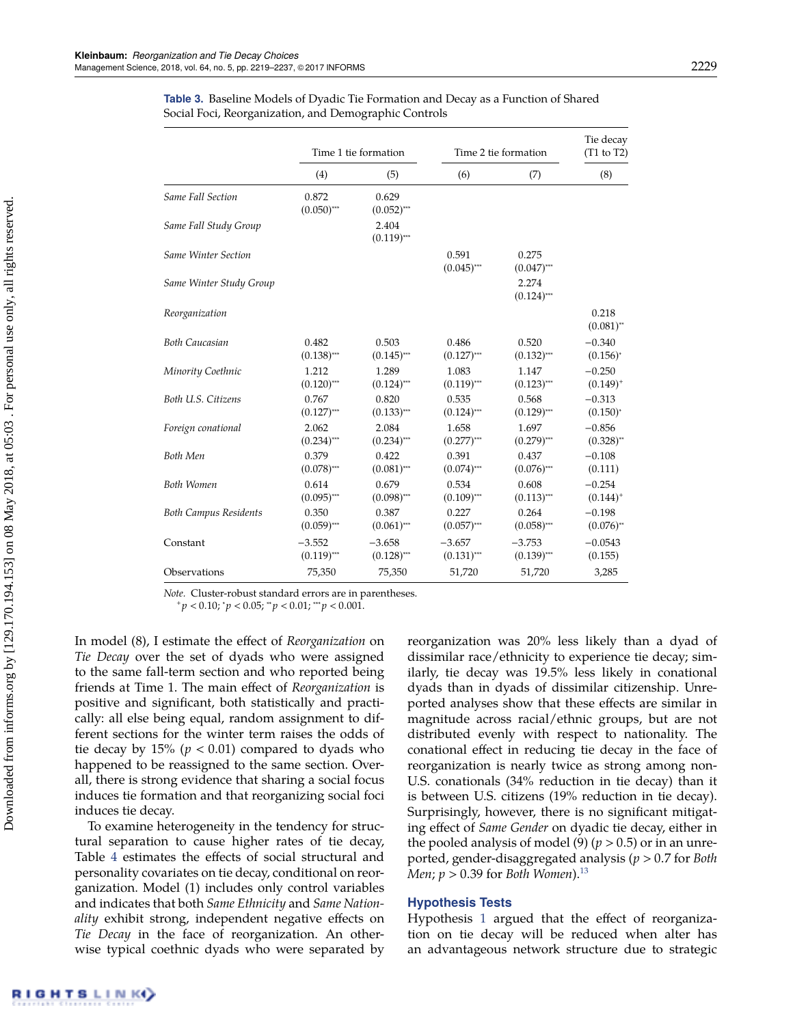#### <span id="page-10-0"></span>**Table 3.** Baseline Models of Dyadic Tie Formation and Decay as a Function of Shared Social Foci, Reorganization, and Demographic Controls

|                              |                        | Time 1 tie formation   |                        | Time 2 tie formation   | Tie decay<br>(T1 to T2) |
|------------------------------|------------------------|------------------------|------------------------|------------------------|-------------------------|
|                              | (4)                    | (5)                    | (6)                    | (7)                    | (8)                     |
| Same Fall Section            | 0.872<br>$(0.050)$ *** | 0.629<br>$(0.052)$ **  |                        |                        |                         |
| Same Fall Study Group        |                        | 2.404<br>$(0.119)$ *** |                        |                        |                         |
| Same Winter Section          |                        |                        | 0.591<br>$(0.045)$ *** | 0.275<br>$(0.047)$ *** |                         |
| Same Winter Study Group      |                        |                        |                        | 2.274<br>$(0.124)$ *** |                         |
| Reorganization               |                        |                        |                        |                        | 0.218<br>$(0.081)$ **   |
| <b>Both Caucasian</b>        | 0.482                  | 0.503                  | 0.486                  | 0.520                  | $-0.340$                |
|                              | $(0.138)$ ***          | $(0.145)$ **           | $(0.127)$ ***          | $(0.132)$ ***          | $(0.156)^{*}$           |
| Minority Coethnic            | 1.212                  | 1.289                  | 1.083                  | 1.147                  | $-0.250$                |
|                              | $(0.120)$ ***          | $(0.124)$ ***          | $(0.119)$ ***          | $(0.123)$ ***          | $(0.149)^+$             |
| Both U.S. Citizens           | 0.767                  | 0.820                  | 0.535                  | 0.568                  | $-0.313$                |
|                              | $(0.127)$ ***          | $(0.133)$ ***          | $(0.124)$ ***          | $(0.129)$ ***          | $(0.150)^{*}$           |
| Foreign conational           | 2.062                  | 2.084                  | 1.658                  | 1.697                  | $-0.856$                |
|                              | $(0.234)$ ***          | $(0.234)$ **           | $(0.277)$ ***          | $(0.279)$ ***          | $(0.328)$ **            |
| <b>Both Men</b>              | 0.379                  | 0.422                  | 0.391                  | 0.437                  | $-0.108$                |
|                              | $(0.078)$ **           | $(0.081)$ **           | $(0.074)$ **           | $(0.076)$ ***          | (0.111)                 |
| Both Women                   | 0.614                  | 0.679                  | 0.534                  | 0.608                  | $-0.254$                |
|                              | $(0.095)$ ***          | $(0.098)$ ***          | $(0.109)$ ***          | $(0.113)$ ***          | $(0.144)^+$             |
| <b>Both Campus Residents</b> | 0.350                  | 0.387                  | 0.227                  | 0.264                  | $-0.198$                |
|                              | $(0.059)$ ***          | $(0.061)$ ***          | $(0.057)$ ***          | $(0.058)$ ***          | $(0.076)$ **            |
| Constant                     | $-3.552$               | $-3.658$               | $-3.657$               | $-3.753$               | $-0.0543$               |
|                              | $(0.119)$ ***          | $(0.128)$ ***          | $(0.131)$ ***          | $(0.139)$ ***          | (0.155)                 |
| Observations                 | 75,350                 | 75,350                 | 51,720                 | 51,720                 | 3,285                   |

*Note.* Cluster-robust standard errors are in parentheses.

<sup>+</sup>*p* < 0.10; <sup>∗</sup>*p* < 0.05; ∗∗*p* < 0.01; ∗∗∗*p* < 0.001.

In model (8), I estimate the effect of *Reorganization* on *Tie Decay* over the set of dyads who were assigned to the same fall-term section and who reported being friends at Time 1. The main effect of *Reorganization* is positive and significant, both statistically and practically: all else being equal, random assignment to different sections for the winter term raises the odds of tie decay by 15%  $(p < 0.01)$  compared to dyads who happened to be reassigned to the same section. Overall, there is strong evidence that sharing a social focus induces tie formation and that reorganizing social foci induces tie decay.

To examine heterogeneity in the tendency for structural separation to cause higher rates of tie decay, Table [4](#page-11-0) estimates the effects of social structural and personality covariates on tie decay, conditional on reorganization. Model (1) includes only control variables and indicates that both *Same Ethnicity* and *Same Nationality* exhibit strong, independent negative effects on *Tie Decay* in the face of reorganization. An otherwise typical coethnic dyads who were separated by reorganization was 20% less likely than a dyad of dissimilar race/ethnicity to experience tie decay; similarly, tie decay was 19.5% less likely in conational dyads than in dyads of dissimilar citizenship. Unreported analyses show that these effects are similar in magnitude across racial/ethnic groups, but are not distributed evenly with respect to nationality. The conational effect in reducing tie decay in the face of reorganization is nearly twice as strong among non-U.S. conationals (34% reduction in tie decay) than it is between U.S. citizens (19% reduction in tie decay). Surprisingly, however, there is no significant mitigating effect of *Same Gender* on dyadic tie decay, either in the pooled analysis of model (9) ( $p > 0.5$ ) or in an unreported, gender-disaggregated analysis (*p* > 0.7 for *Both Men*; *p* > 0.39 for *Both Women*).[13](#page-16-22)

## <span id="page-10-1"></span>**Hypothesis Tests**

Hypothesis [1](#page-2-0) argued that the effect of reorganization on tie decay will be reduced when alter has an advantageous network structure due to strategic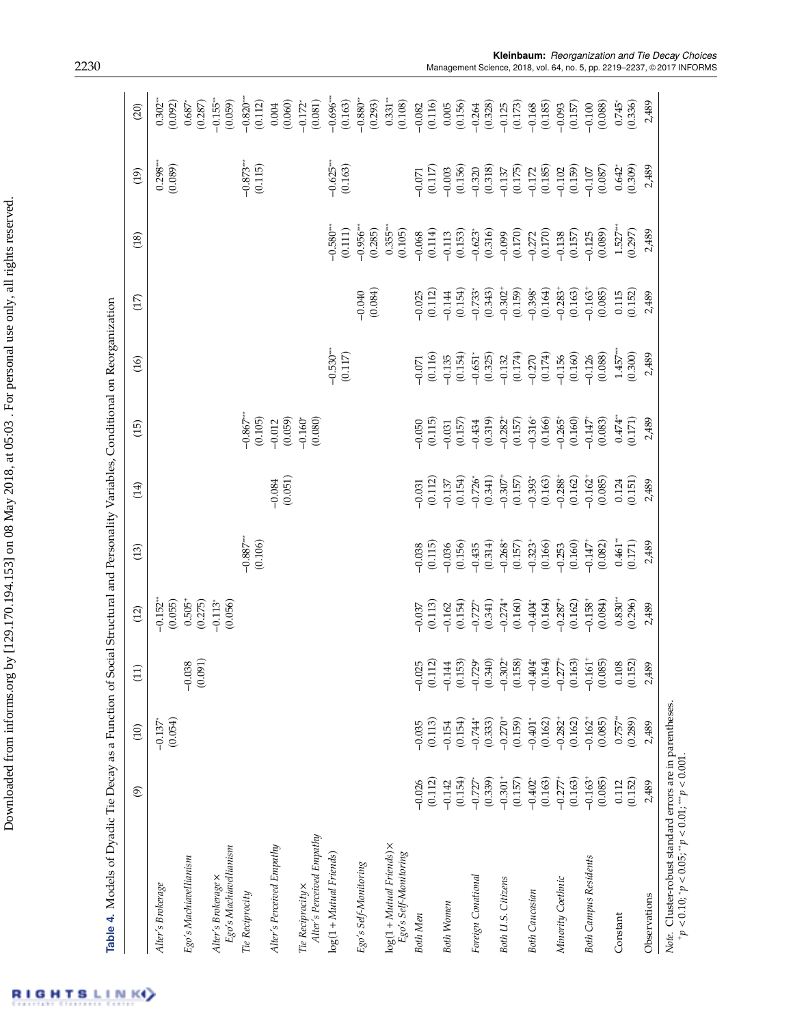| l                         |
|---------------------------|
|                           |
|                           |
|                           |
|                           |
|                           |
| ļ                         |
|                           |
| $\overline{1}$            |
|                           |
|                           |
|                           |
|                           |
| ;                         |
| $\overline{a}$            |
|                           |
| i                         |
| こくさい こうくう                 |
|                           |
|                           |
|                           |
|                           |
|                           |
|                           |
|                           |
|                           |
|                           |
| ľ                         |
|                           |
|                           |
|                           |
|                           |
|                           |
| í                         |
|                           |
|                           |
| $\tilde{z}$<br>)<br> <br> |
|                           |
|                           |
| $\overline{a}$            |
| י<br>ו                    |
|                           |
|                           |
|                           |
| $\frac{1}{2}$             |
| $\frac{1}{2}$             |
| l                         |
|                           |
|                           |
| $\frac{1}{2}$             |
|                           |
|                           |
|                           |
|                           |
| ;<br>;<br>;               |
|                           |
|                           |
|                           |
|                           |
|                           |
|                           |
|                           |
|                           |
|                           |
|                           |
|                           |
|                           |
|                           |
|                           |
|                           |
|                           |
|                           |
|                           |
|                           |
|                           |
|                           |
|                           |
|                           |
|                           |
|                           |
|                           |
|                           |
| ्र                        |
| $\vdots$                  |
| $\frac{1}{2}$             |
| į                         |
|                           |
| $-11.7$                   |
| ן איטע<br>$\sqrt{2}$      |

<span id="page-11-0"></span>

|                                                                                                                                       | $\widehat{\mathfrak{G}}$         | (10)                             | $\Xi$                                                       | (12)                             | (13)                             | (14)                             | (15)                             | (16)                   | (17)                               | (18)                             | (19)                            | (20)                             |
|---------------------------------------------------------------------------------------------------------------------------------------|----------------------------------|----------------------------------|-------------------------------------------------------------|----------------------------------|----------------------------------|----------------------------------|----------------------------------|------------------------|------------------------------------|----------------------------------|---------------------------------|----------------------------------|
| Alter's Brokerage                                                                                                                     |                                  | (0.054)<br>$-0.137$ <sup>*</sup> |                                                             | (0.055)<br>$-0.152*$             |                                  |                                  |                                  |                        |                                    |                                  | $0.298***$<br>(0.089)           | (0.092)<br>$0.302*$              |
| Ego's Machiavellianism                                                                                                                |                                  |                                  | $-0.038$<br>$(0.091)$<br>$-0.03$                            | $0.505+$<br>(0.275)              |                                  |                                  |                                  |                        |                                    |                                  |                                 | $0.687$ <sup>*</sup>             |
| Ego's Machiavellianism<br>Alter's Brokerage ×                                                                                         |                                  |                                  |                                                             | (0.056)<br>$-0.113*$             |                                  |                                  |                                  |                        |                                    |                                  |                                 | $-0.155**$<br>(0.059)            |
| Tie Reciprocity                                                                                                                       |                                  |                                  |                                                             |                                  | $-0.887\cdots$<br>(0.106)        |                                  | $-0.867$<br>(0.105)              |                        |                                    |                                  | $-0.873***$<br>(0.115)          | $-0.820***$<br>(0.112)           |
| Alter's Perceived Empathy                                                                                                             |                                  |                                  |                                                             |                                  |                                  | (0.051)<br>$-0.084$              | (0.059)<br>$-0.012$              |                        |                                    |                                  |                                 | (0.060)<br>0.004                 |
| Alter's Perceived Empathy<br>Tie Reciprocity ×                                                                                        |                                  |                                  |                                                             |                                  |                                  |                                  | $-0.160$ <sup>*</sup><br>(0.080) |                        |                                    |                                  |                                 | (0.081)<br>$-0.172$ <sup>*</sup> |
| $log(1 + Mutual$ Friends)                                                                                                             |                                  |                                  |                                                             |                                  |                                  |                                  |                                  | $-0.530***$<br>(0.117) |                                    | $-0.580***$<br>(0.111)           | $-0.625***$<br>(0.163)          | $-0.696***$<br>(0.163)           |
| Ego's Self-Monitoring                                                                                                                 |                                  |                                  |                                                             |                                  |                                  |                                  |                                  |                        | (0.084)<br>$-0.040$                | $-0.956***$<br>(0.285)           |                                 | $-0.880**$<br>(0.293)            |
| $log(1 + Mutual\,$ Friends) $\times$<br>Ego's Self-Monitoring                                                                         |                                  |                                  |                                                             |                                  |                                  |                                  |                                  |                        |                                    | $0.355***$<br>(0.105)            |                                 | $0.331**$<br>(0.108)             |
| <b>Both Men</b>                                                                                                                       | (0.112)<br>$-0.026$              | (0.113)<br>$-0.035$              | $-0.025$<br>(0.112)<br>-0.144                               | (0.113)<br>$-0.037$              | (0.115)<br>$-0.038$              | (0.112)<br>$-0.031$              | (0.115)<br>$-0.050$              | (0.116)<br>$-0.071$    | (0.112)<br>$-0.025$                | (0.114)<br>$-0.068$              | $-0.071$<br>$(0.117)$           | (0.116)<br>$-0.082$              |
| <b>Both Women</b>                                                                                                                     | (0.154)<br>$-0.142$              | (0.154)<br>$-0.154$              | (0.153)                                                     | (0.154)<br>$-0.162$              | (0.156)<br>$-0.036$              | (0.154)<br>$-0.137$              | (0.157)<br>$-0.031$              | (0.154)<br>$-0.135$    | (0.154)<br>$-0.144$                | (0.153)<br>$-0.113$              | (0.156)<br>$-0.003$             | (0.156)<br>0.005                 |
| Foreign Conational                                                                                                                    | (0.339)<br>$-0.727$ <sup>*</sup> | $-0.744*$<br>(0.333)             |                                                             | (0.341)<br>$-0.727$ <sup>*</sup> | (0.314)<br>$-0.435$              | $-0.726$ <sup>*</sup><br>(0.341) | (0.319)<br>$-0.434$              | $-0.651*$<br>(0.325)   | $-0.733$ <sup>*</sup><br>$(0.343)$ | (0.316)<br>$-0.623$ <sup>*</sup> | $-0.320$<br>$(0.318)$           | (0.328)<br>$-0.264$              |
| Both U.S. Citizens                                                                                                                    | $-0.301+$<br>(0.157)             | $-0.270+$<br>(0.159)             | $-0.729$<br>$(0.340)$<br>$-0.302$ <sup>+</sup><br>$(0.158)$ | (0.160)<br>$-0.274+$             | $-0.268 +$<br>(0.157)            | $-0.307$ <sup>+</sup><br>(0.157) | (0.157)<br>$-0.282$ <sup>+</sup> | (0.174)<br>$-0.132$    | $-0.302 +$<br>(0.159)              | (0.170)<br>$-0.099$              | (0.175)<br>$-0.137$             | (0.173)<br>$-0.125$              |
| <b>Both Caucasian</b>                                                                                                                 | (0.163)<br>$-0.402$ <sup>*</sup> | $-0.401*$<br>(0.162)             | $-0.404*$<br>(0.164)                                        | (0.164)<br>$-0.404*$             | $-0.323$ <sup>+</sup><br>(0.166) | $-0.393$ *<br>(0.163)            | $-0.316^{+}$<br>(0.166)          | (0.174)<br>$-0.270$    | $-0.398*$<br>(0.164)               | (0.170)<br>$-0.272$              | (0.185)<br>$-0.172$             | (0.185)<br>$-0.168$              |
| Minority Coethnic                                                                                                                     | $-0.277$ <sup>+</sup><br>(0.163) | $-0.282$ <sup>+</sup><br>(0.162) | $-0.277+$<br>(0.163)                                        | $-0.287$ <sup>+</sup><br>(0.162) | (0.160)<br>$-0.253$              | $-0.288$ <sup>+</sup><br>(0.162) | (0.160)<br>$-0.265+$             | (0.160)<br>$-0.156$    | $-0.283+$<br>(0.163)               | (0.157)<br>$-0.138$              | (0.159)<br>$-0.102$             | (0.157)<br>$-0.093$              |
| <b>Both Campus Residents</b>                                                                                                          | $-0.163+$<br>(0.085)             | $-0.162+$<br>(0.085)             | $-0.161$ <sup>+</sup><br>(0.085)                            | $-0.158+$<br>(0.084)             | $-0.147+$<br>(0.082)             | $-0.162+$<br>(0.085)             | $-0.147$ <sup>+</sup><br>(0.083) | (0.088)<br>$-0.126$    | $-0.163+$<br>(0.085)               | (0.089)<br>$-0.125$              | (0.087)<br>$-0.107$             | (0.088)<br>$-0.100$              |
| Constant                                                                                                                              | (0.152)<br>0.112                 | $0.757**$<br>(0.289)             | (0.152)<br>$\infty$<br>0.10                                 | $0.830$ <sup>**</sup><br>(0.296) | $0.461$ <sup>**</sup><br>(0.171) | (0.151)<br>0.124                 | $0.474$ **<br>(0.171)            | $1.457***$<br>(0.300)  | (0.152)<br>0.115                   | 1.527<br>(0.297)                 | (0.309)<br>$0.642$ <sup>*</sup> | (0.336)<br>$0.745$ <sup>*</sup>  |
| Observations                                                                                                                          | 2,489                            | 2,489                            | 2,489                                                       | 2,489                            | 2,489                            | 2,489                            | 2,489                            | 2,489                  | 2,489                              | 2,489                            | 2,489                           | 2,489                            |
| Note. Cluster-robust standard errors are in parentheses.<br>${}^{+}p$ < 0.10; ${}^{*}p$ < 0.05; ${}^{*}p$ < 0.01; ${}^{**}p$ < 0.001. |                                  |                                  |                                                             |                                  |                                  |                                  |                                  |                        |                                    |                                  |                                 |                                  |

RIGHTSLINK<sup>Y</sup>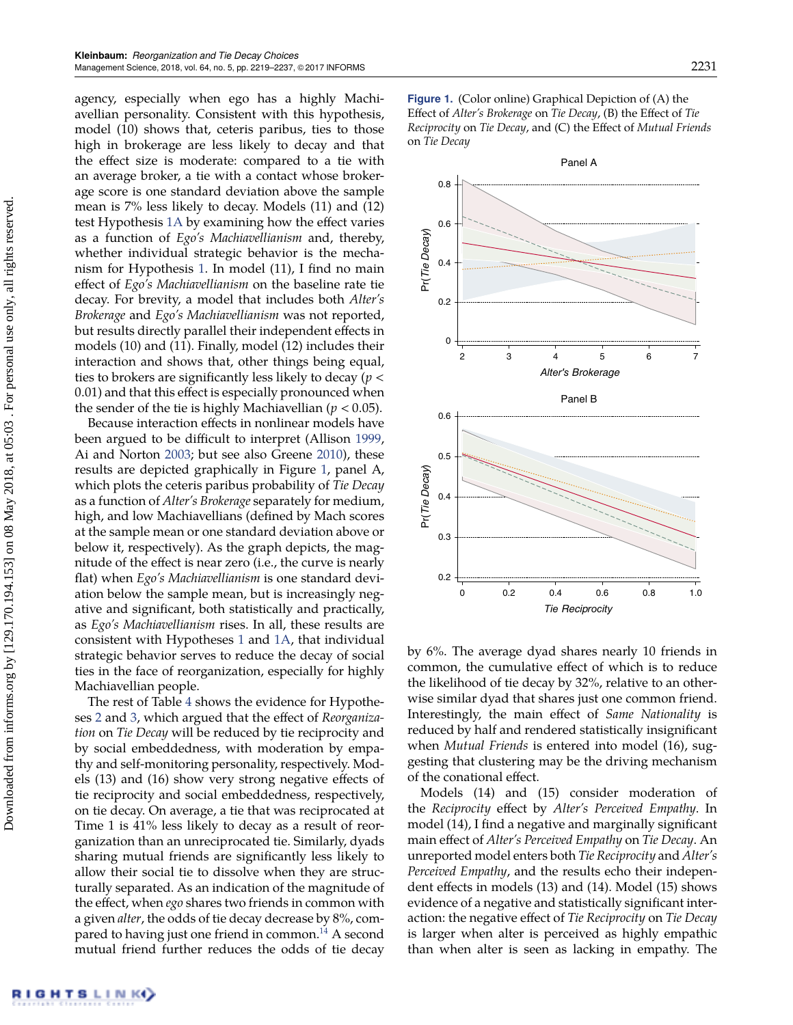agency, especially when ego has a highly Machiavellian personality. Consistent with this hypothesis, model (10) shows that, ceteris paribus, ties to those high in brokerage are less likely to decay and that the effect size is moderate: compared to a tie with an average broker, a tie with a contact whose brokerage score is one standard deviation above the sample mean is 7% less likely to decay. Models (11) and (12) test Hypothesis [1A](#page-2-1) by examining how the effect varies as a function of *Ego's Machiavellianism* and, thereby, whether individual strategic behavior is the mechanism for Hypothesis [1.](#page-2-0) In model (11), I find no main effect of *Ego's Machiavellianism* on the baseline rate tie decay. For brevity, a model that includes both *Alter's Brokerage* and *Ego's Machiavellianism* was not reported, but results directly parallel their independent effects in models (10) and (11). Finally, model (12) includes their interaction and shows that, other things being equal, ties to brokers are significantly less likely to decay (*p* < 0.01) and that this effect is especially pronounced when the sender of the tie is highly Machiavellian (*p* < 0.05).

Because interaction effects in nonlinear models have been argued to be difficult to interpret (Allison [1999,](#page-16-23) Ai and Norton [2003;](#page-16-24) but see also Greene [2010\)](#page-17-48), these results are depicted graphically in Figure [1,](#page-12-0) panel A, which plots the ceteris paribus probability of *Tie Decay* as a function of *Alter's Brokerage* separately for medium, high, and low Machiavellians (defined by Mach scores at the sample mean or one standard deviation above or below it, respectively). As the graph depicts, the magnitude of the effect is near zero (i.e., the curve is nearly flat) when *Ego's Machiavellianism* is one standard deviation below the sample mean, but is increasingly negative and significant, both statistically and practically, as *Ego's Machiavellianism* rises. In all, these results are consistent with Hypotheses [1](#page-2-0) and [1A,](#page-2-1) that individual strategic behavior serves to reduce the decay of social ties in the face of reorganization, especially for highly Machiavellian people.

The rest of Table [4](#page-11-0) shows the evidence for Hypotheses [2](#page-3-0) and [3,](#page-4-0) which argued that the effect of *Reorganization* on *Tie Decay* will be reduced by tie reciprocity and by social embeddedness, with moderation by empathy and self-monitoring personality, respectively. Models (13) and (16) show very strong negative effects of tie reciprocity and social embeddedness, respectively, on tie decay. On average, a tie that was reciprocated at Time 1 is 41% less likely to decay as a result of reorganization than an unreciprocated tie. Similarly, dyads sharing mutual friends are significantly less likely to allow their social tie to dissolve when they are structurally separated. As an indication of the magnitude of the effect, when *ego* shares two friends in common with a given *alter*, the odds of tie decay decrease by 8%, com-pared to having just one friend in common.<sup>[14](#page-16-25)</sup> A second mutual friend further reduces the odds of tie decay

<span id="page-12-0"></span>



by 6%. The average dyad shares nearly 10 friends in common, the cumulative effect of which is to reduce the likelihood of tie decay by 32%, relative to an otherwise similar dyad that shares just one common friend. Interestingly, the main effect of *Same Nationality* is reduced by half and rendered statistically insignificant when *Mutual Friends* is entered into model (16), suggesting that clustering may be the driving mechanism of the conational effect.

<span id="page-12-1"></span>Models (14) and (15) consider moderation of the *Reciprocity* effect by *Alter's Perceived Empathy*. In model (14), I find a negative and marginally significant main effect of *Alter's Perceived Empathy* on *Tie Decay*. An unreported model enters both *Tie Reciprocity* and *Alter's Perceived Empathy*, and the results echo their independent effects in models (13) and (14). Model (15) shows evidence of a negative and statistically significant interaction: the negative effect of *Tie Reciprocity* on *Tie Decay* is larger when alter is perceived as highly empathic than when alter is seen as lacking in empathy. The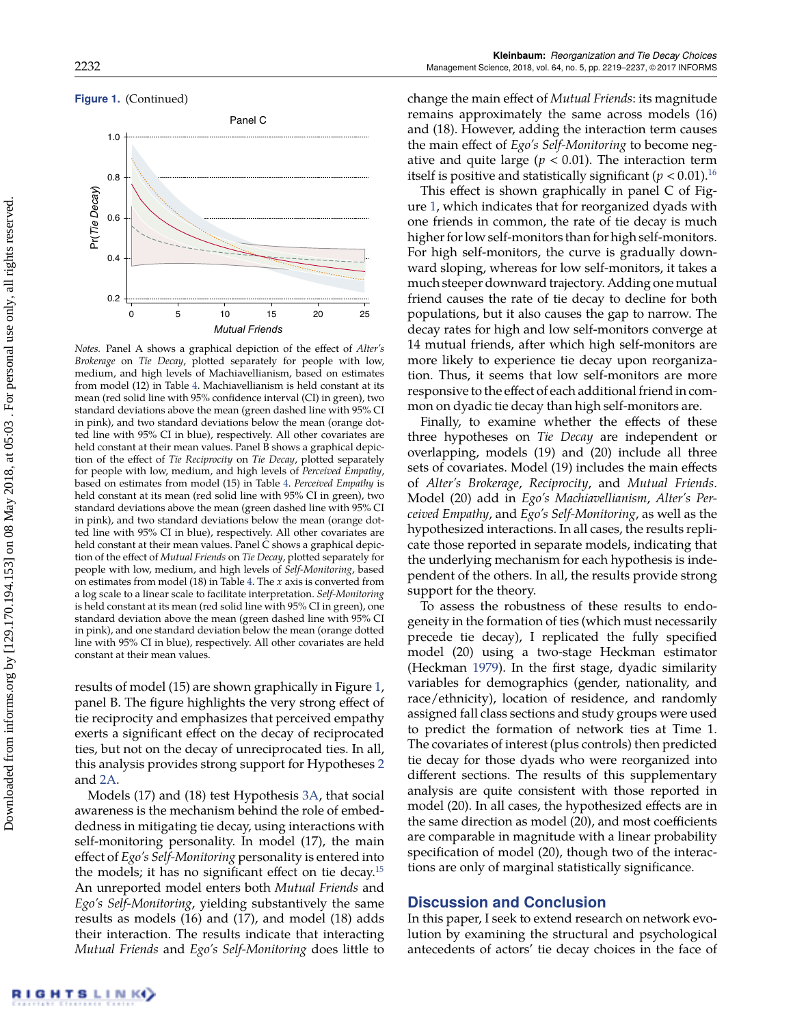



*Notes.* Panel A shows a graphical depiction of the effect of *Alter's Brokerage* on *Tie Decay*, plotted separately for people with low, medium, and high levels of Machiavellianism, based on estimates from model (12) in Table [4.](#page-11-0) Machiavellianism is held constant at its mean (red solid line with 95% confidence interval (CI) in green), two standard deviations above the mean (green dashed line with 95% CI in pink), and two standard deviations below the mean (orange dotted line with 95% CI in blue), respectively. All other covariates are held constant at their mean values. Panel B shows a graphical depiction of the effect of *Tie Reciprocity* on *Tie Decay*, plotted separately for people with low, medium, and high levels of *Perceived Empathy*, based on estimates from model (15) in Table [4.](#page-11-0) *Perceived Empathy* is held constant at its mean (red solid line with 95% CI in green), two standard deviations above the mean (green dashed line with 95% CI in pink), and two standard deviations below the mean (orange dotted line with 95% CI in blue), respectively. All other covariates are held constant at their mean values. Panel C shows a graphical depiction of the effect of *Mutual Friends* on *Tie Decay*, plotted separately for people with low, medium, and high levels of *Self-Monitoring*, based on estimates from model (18) in Table [4.](#page-11-0) The *x* axis is converted from a log scale to a linear scale to facilitate interpretation. *Self-Monitoring* is held constant at its mean (red solid line with 95% CI in green), one standard deviation above the mean (green dashed line with 95% CI in pink), and one standard deviation below the mean (orange dotted line with 95% CI in blue), respectively. All other covariates are held constant at their mean values.

results of model (15) are shown graphically in Figure [1,](#page-12-0) panel B. The figure highlights the very strong effect of tie reciprocity and emphasizes that perceived empathy exerts a significant effect on the decay of reciprocated ties, but not on the decay of unreciprocated ties. In all, this analysis provides strong support for Hypotheses [2](#page-3-0) and [2A.](#page-3-1)

Models (17) and (18) test Hypothesis [3A,](#page-4-1) that social awareness is the mechanism behind the role of embeddedness in mitigating tie decay, using interactions with self-monitoring personality. In model (17), the main effect of *Ego's Self-Monitoring* personality is entered into the models; it has no significant effect on tie decay.[15](#page-16-26) An unreported model enters both *Mutual Friends* and *Ego's Self-Monitoring*, yielding substantively the same results as models (16) and (17), and model (18) adds their interaction. The results indicate that interacting *Mutual Friends* and *Ego's Self-Monitoring* does little to

change the main effect of *Mutual Friends*: its magnitude remains approximately the same across models (16) and (18). However, adding the interaction term causes the main effect of *Ego's Self-Monitoring* to become negative and quite large ( $p < 0.01$ ). The interaction term itself is positive and statistically significant ( $p < 0.01$ ).<sup>[16](#page-16-27)</sup>

<span id="page-13-1"></span>This effect is shown graphically in panel C of Figure [1,](#page-12-0) which indicates that for reorganized dyads with one friends in common, the rate of tie decay is much higher for low self-monitors than for high self-monitors. For high self-monitors, the curve is gradually downward sloping, whereas for low self-monitors, it takes a much steeper downward trajectory. Adding one mutual friend causes the rate of tie decay to decline for both populations, but it also causes the gap to narrow. The decay rates for high and low self-monitors converge at 14 mutual friends, after which high self-monitors are more likely to experience tie decay upon reorganization. Thus, it seems that low self-monitors are more responsive to the effect of each additional friend in common on dyadic tie decay than high self-monitors are.

Finally, to examine whether the effects of these three hypotheses on *Tie Decay* are independent or overlapping, models (19) and (20) include all three sets of covariates. Model (19) includes the main effects of *Alter's Brokerage*, *Reciprocity*, and *Mutual Friends*. Model (20) add in *Ego's Machiavellianism*, *Alter's Perceived Empathy*, and *Ego's Self-Monitoring*, as well as the hypothesized interactions. In all cases, the results replicate those reported in separate models, indicating that the underlying mechanism for each hypothesis is independent of the others. In all, the results provide strong support for the theory.

To assess the robustness of these results to endogeneity in the formation of ties (which must necessarily precede tie decay), I replicated the fully specified model (20) using a two-stage Heckman estimator (Heckman [1979\)](#page-17-49). In the first stage, dyadic similarity variables for demographics (gender, nationality, and race/ethnicity), location of residence, and randomly assigned fall class sections and study groups were used to predict the formation of network ties at Time 1. The covariates of interest (plus controls) then predicted tie decay for those dyads who were reorganized into different sections. The results of this supplementary analysis are quite consistent with those reported in model (20). In all cases, the hypothesized effects are in the same direction as model (20), and most coefficients are comparable in magnitude with a linear probability specification of model (20), though two of the interactions are only of marginal statistically significance.

# <span id="page-13-0"></span>**Discussion and Conclusion**

In this paper, I seek to extend research on network evolution by examining the structural and psychological antecedents of actors' tie decay choices in the face of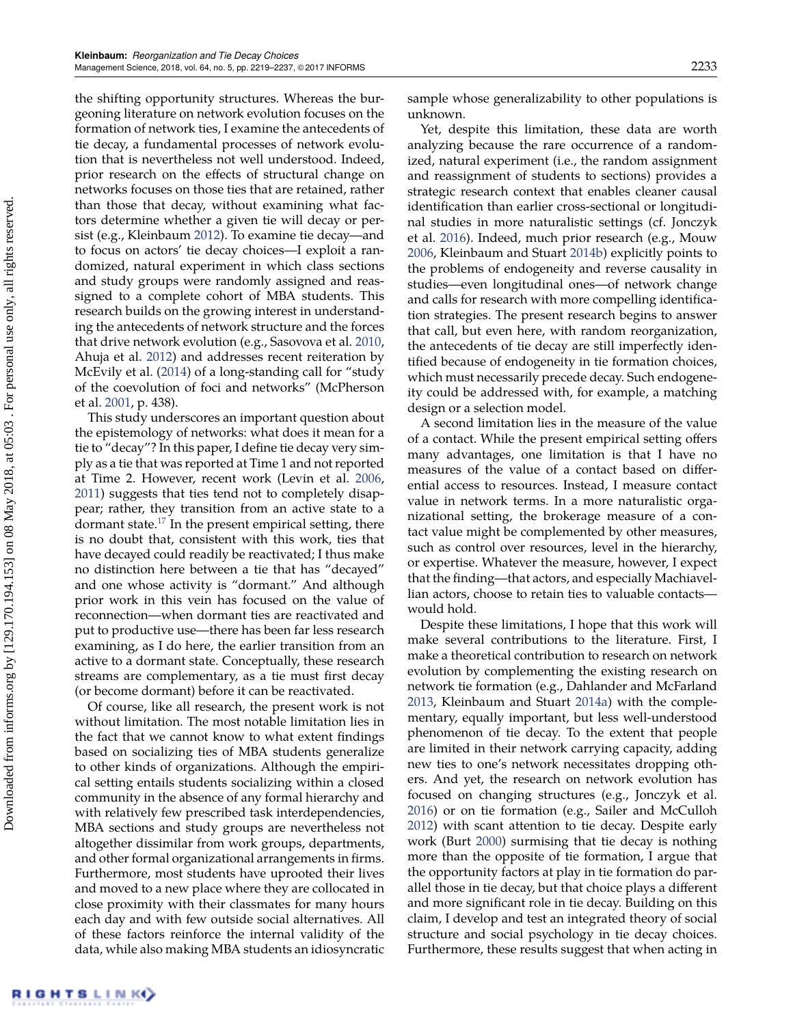the shifting opportunity structures. Whereas the burgeoning literature on network evolution focuses on the formation of network ties, I examine the antecedents of tie decay, a fundamental processes of network evolution that is nevertheless not well understood. Indeed, prior research on the effects of structural change on networks focuses on those ties that are retained, rather than those that decay, without examining what factors determine whether a given tie will decay or persist (e.g., Kleinbaum [2012\)](#page-17-50). To examine tie decay—and to focus on actors' tie decay choices—I exploit a randomized, natural experiment in which class sections and study groups were randomly assigned and reassigned to a complete cohort of MBA students. This research builds on the growing interest in understanding the antecedents of network structure and the forces that drive network evolution (e.g., Sasovova et al. [2010,](#page-18-43) Ahuja et al. [2012\)](#page-16-28) and addresses recent reiteration by McEvily et al. [\(2014\)](#page-18-45) of a long-standing call for "study of the coevolution of foci and networks" (McPherson et al. [2001,](#page-18-46) p. 438).

<span id="page-14-0"></span>This study underscores an important question about the epistemology of networks: what does it mean for a tie to "decay"? In this paper, I define tie decay very simply as a tie that was reported at Time 1 and not reported at Time 2. However, recent work (Levin et al. [2006,](#page-18-47) [2011\)](#page-18-48) suggests that ties tend not to completely disappear; rather, they transition from an active state to a dormant state.<sup>[17](#page-16-29)</sup> In the present empirical setting, there is no doubt that, consistent with this work, ties that have decayed could readily be reactivated; I thus make no distinction here between a tie that has "decayed" and one whose activity is "dormant." And although prior work in this vein has focused on the value of reconnection—when dormant ties are reactivated and put to productive use—there has been far less research examining, as I do here, the earlier transition from an active to a dormant state. Conceptually, these research streams are complementary, as a tie must first decay (or become dormant) before it can be reactivated.

Of course, like all research, the present work is not without limitation. The most notable limitation lies in the fact that we cannot know to what extent findings based on socializing ties of MBA students generalize to other kinds of organizations. Although the empirical setting entails students socializing within a closed community in the absence of any formal hierarchy and with relatively few prescribed task interdependencies, MBA sections and study groups are nevertheless not altogether dissimilar from work groups, departments, and other formal organizational arrangements in firms. Furthermore, most students have uprooted their lives and moved to a new place where they are collocated in close proximity with their classmates for many hours each day and with few outside social alternatives. All of these factors reinforce the internal validity of the data, while also making MBA students an idiosyncratic sample whose generalizability to other populations is unknown.

Yet, despite this limitation, these data are worth analyzing because the rare occurrence of a randomized, natural experiment (i.e., the random assignment and reassignment of students to sections) provides a strategic research context that enables cleaner causal identification than earlier cross-sectional or longitudinal studies in more naturalistic settings (cf. Jonczyk et al. [2016\)](#page-17-19). Indeed, much prior research (e.g., Mouw [2006,](#page-18-36) Kleinbaum and Stuart [2014b\)](#page-17-51) explicitly points to the problems of endogeneity and reverse causality in studies—even longitudinal ones—of network change and calls for research with more compelling identification strategies. The present research begins to answer that call, but even here, with random reorganization, the antecedents of tie decay are still imperfectly identified because of endogeneity in tie formation choices, which must necessarily precede decay. Such endogeneity could be addressed with, for example, a matching design or a selection model.

A second limitation lies in the measure of the value of a contact. While the present empirical setting offers many advantages, one limitation is that I have no measures of the value of a contact based on differential access to resources. Instead, I measure contact value in network terms. In a more naturalistic organizational setting, the brokerage measure of a contact value might be complemented by other measures, such as control over resources, level in the hierarchy, or expertise. Whatever the measure, however, I expect that the finding—that actors, and especially Machiavellian actors, choose to retain ties to valuable contacts would hold.

Despite these limitations, I hope that this work will make several contributions to the literature. First, I make a theoretical contribution to research on network evolution by complementing the existing research on network tie formation (e.g., Dahlander and McFarland [2013,](#page-17-46) Kleinbaum and Stuart [2014a\)](#page-17-52) with the complementary, equally important, but less well-understood phenomenon of tie decay. To the extent that people are limited in their network carrying capacity, adding new ties to one's network necessitates dropping others. And yet, the research on network evolution has focused on changing structures (e.g., Jonczyk et al. [2016\)](#page-17-19) or on tie formation (e.g., Sailer and McCulloh [2012\)](#page-18-3) with scant attention to tie decay. Despite early work (Burt [2000\)](#page-16-4) surmising that tie decay is nothing more than the opposite of tie formation, I argue that the opportunity factors at play in tie formation do parallel those in tie decay, but that choice plays a different and more significant role in tie decay. Building on this claim, I develop and test an integrated theory of social structure and social psychology in tie decay choices. Furthermore, these results suggest that when acting in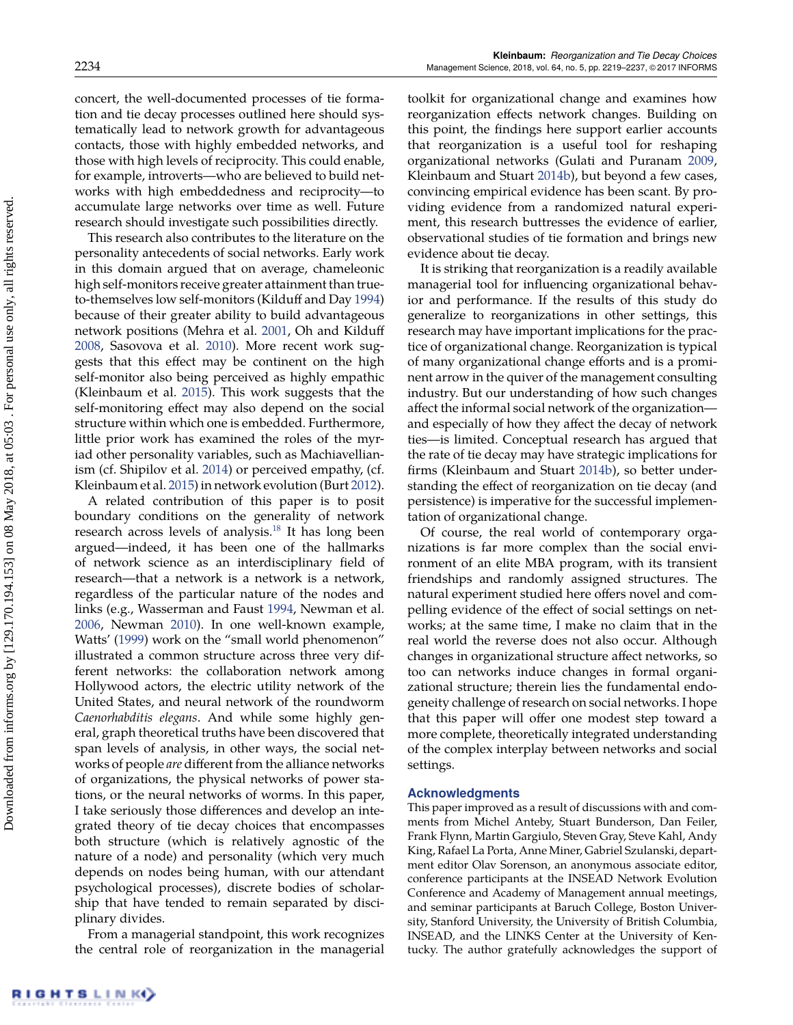concert, the well-documented processes of tie formation and tie decay processes outlined here should systematically lead to network growth for advantageous contacts, those with highly embedded networks, and those with high levels of reciprocity. This could enable, for example, introverts—who are believed to build networks with high embeddedness and reciprocity—to accumulate large networks over time as well. Future research should investigate such possibilities directly.

This research also contributes to the literature on the personality antecedents of social networks. Early work in this domain argued that on average, chameleonic high self-monitors receive greater attainment than trueto-themselves low self-monitors (Kilduff and Day [1994\)](#page-17-37) because of their greater ability to build advantageous network positions (Mehra et al. [2001,](#page-18-32) Oh and Kilduff [2008,](#page-18-49) Sasovova et al. [2010\)](#page-18-43). More recent work suggests that this effect may be continent on the high self-monitor also being perceived as highly empathic (Kleinbaum et al. [2015\)](#page-17-8). This work suggests that the self-monitoring effect may also depend on the social structure within which one is embedded. Furthermore, little prior work has examined the roles of the myriad other personality variables, such as Machiavellianism (cf. Shipilov et al. [2014\)](#page-18-18) or perceived empathy, (cf. Kleinbaum et al. [2015\)](#page-17-8) in network evolution (Burt [2012\)](#page-17-53).

A related contribution of this paper is to posit boundary conditions on the generality of network research across levels of analysis.<sup>[18](#page-16-30)</sup> It has long been argued—indeed, it has been one of the hallmarks of network science as an interdisciplinary field of research—that a network is a network is a network, regardless of the particular nature of the nodes and links (e.g., Wasserman and Faust [1994,](#page-18-50) Newman et al. [2006,](#page-18-51) Newman [2010\)](#page-18-52). In one well-known example, Watts' [\(1999\)](#page-18-53) work on the "small world phenomenon" illustrated a common structure across three very different networks: the collaboration network among Hollywood actors, the electric utility network of the United States, and neural network of the roundworm *Caenorhabditis elegans*. And while some highly general, graph theoretical truths have been discovered that span levels of analysis, in other ways, the social networks of people *are* different from the alliance networks of organizations, the physical networks of power stations, or the neural networks of worms. In this paper, I take seriously those differences and develop an integrated theory of tie decay choices that encompasses both structure (which is relatively agnostic of the nature of a node) and personality (which very much depends on nodes being human, with our attendant psychological processes), discrete bodies of scholarship that have tended to remain separated by disciplinary divides.

From a managerial standpoint, this work recognizes the central role of reorganization in the managerial toolkit for organizational change and examines how reorganization effects network changes. Building on this point, the findings here support earlier accounts that reorganization is a useful tool for reshaping organizational networks (Gulati and Puranam [2009,](#page-17-54) Kleinbaum and Stuart [2014b\)](#page-17-51), but beyond a few cases, convincing empirical evidence has been scant. By providing evidence from a randomized natural experiment, this research buttresses the evidence of earlier, observational studies of tie formation and brings new evidence about tie decay.

It is striking that reorganization is a readily available managerial tool for influencing organizational behavior and performance. If the results of this study do generalize to reorganizations in other settings, this research may have important implications for the practice of organizational change. Reorganization is typical of many organizational change efforts and is a prominent arrow in the quiver of the management consulting industry. But our understanding of how such changes affect the informal social network of the organization and especially of how they affect the decay of network ties—is limited. Conceptual research has argued that the rate of tie decay may have strategic implications for firms (Kleinbaum and Stuart [2014b\)](#page-17-51), so better understanding the effect of reorganization on tie decay (and persistence) is imperative for the successful implementation of organizational change.

<span id="page-15-0"></span>Of course, the real world of contemporary organizations is far more complex than the social environment of an elite MBA program, with its transient friendships and randomly assigned structures. The natural experiment studied here offers novel and compelling evidence of the effect of social settings on networks; at the same time, I make no claim that in the real world the reverse does not also occur. Although changes in organizational structure affect networks, so too can networks induce changes in formal organizational structure; therein lies the fundamental endogeneity challenge of research on social networks. I hope that this paper will offer one modest step toward a more complete, theoretically integrated understanding of the complex interplay between networks and social settings.

#### **Acknowledgments**

This paper improved as a result of discussions with and comments from Michel Anteby, Stuart Bunderson, Dan Feiler, Frank Flynn, Martin Gargiulo, Steven Gray, Steve Kahl, Andy King, Rafael La Porta, Anne Miner, Gabriel Szulanski, department editor Olav Sorenson, an anonymous associate editor, conference participants at the INSEAD Network Evolution Conference and Academy of Management annual meetings, and seminar participants at Baruch College, Boston University, Stanford University, the University of British Columbia, INSEAD, and the LINKS Center at the University of Kentucky. The author gratefully acknowledges the support of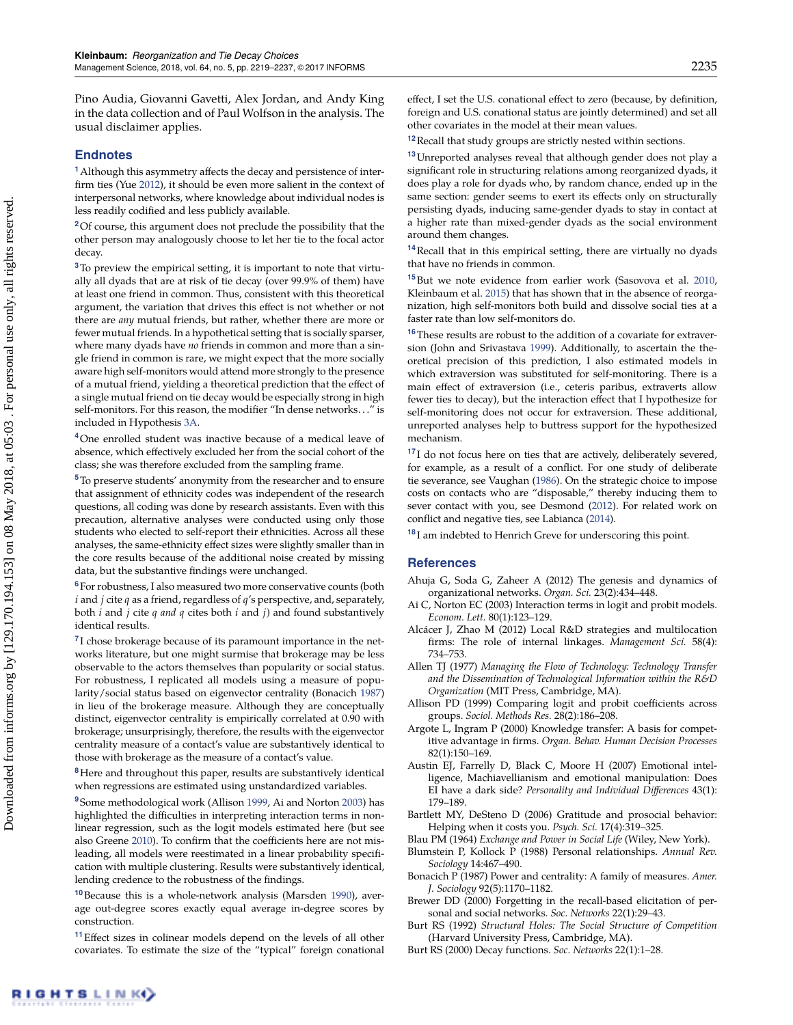Pino Audia, Giovanni Gavetti, Alex Jordan, and Andy King in the data collection and of Paul Wolfson in the analysis. The usual disclaimer applies.

#### **Endnotes**

<span id="page-16-5"></span>**[1](#page-1-0)**Although this asymmetry affects the decay and persistence of interfirm ties (Yue [2012\)](#page-18-54), it should be even more salient in the context of interpersonal networks, where knowledge about individual nodes is less readily codified and less publicly available.

<span id="page-16-8"></span>**[2](#page-2-2)**Of course, this argument does not preclude the possibility that the other person may analogously choose to let her tie to the focal actor decay.

<span id="page-16-11"></span>**[3](#page-4-2)**To preview the empirical setting, it is important to note that virtually all dyads that are at risk of tie decay (over 99.9% of them) have at least one friend in common. Thus, consistent with this theoretical argument, the variation that drives this effect is not whether or not there are *any* mutual friends, but rather, whether there are more or fewer mutual friends. In a hypothetical setting that is socially sparser, where many dyads have *no* friends in common and more than a single friend in common is rare, we might expect that the more socially aware high self-monitors would attend more strongly to the presence of a mutual friend, yielding a theoretical prediction that the effect of a single mutual friend on tie decay would be especially strong in high self-monitors. For this reason, the modifier "In dense networks. . ." is included in Hypothesis [3A.](#page-4-1)

<span id="page-16-12"></span>**[4](#page-5-0)**One enrolled student was inactive because of a medical leave of absence, which effectively excluded her from the social cohort of the class; she was therefore excluded from the sampling frame.

<span id="page-16-14"></span>**[5](#page-6-0)**To preserve students' anonymity from the researcher and to ensure that assignment of ethnicity codes was independent of the research questions, all coding was done by research assistants. Even with this precaution, alternative analyses were conducted using only those students who elected to self-report their ethnicities. Across all these analyses, the same-ethnicity effect sizes were slightly smaller than in the core results because of the additional noise created by missing data, but the substantive findings were unchanged.

<span id="page-16-15"></span>**[6](#page-6-1)** For robustness, I also measured two more conservative counts (both *i* and *j* cite *q* as a friend, regardless of *q*'s perspective, and, separately, both *i* and *j* cite *q and q* cites both *i* and *j*) and found substantively identical results.

<span id="page-16-16"></span><sup>[7](#page-6-2)</sup>I chose brokerage because of its paramount importance in the networks literature, but one might surmise that brokerage may be less observable to the actors themselves than popularity or social status. For robustness, I replicated all models using a measure of popularity/social status based on eigenvector centrality (Bonacich [1987\)](#page-16-31) in lieu of the brokerage measure. Although they are conceptually distinct, eigenvector centrality is empirically correlated at 0.90 with brokerage; unsurprisingly, therefore, the results with the eigenvector centrality measure of a contact's value are substantively identical to those with brokerage as the measure of a contact's value.

<span id="page-16-17"></span>**[8](#page-7-0)**Here and throughout this paper, results are substantively identical when regressions are estimated using unstandardized variables.

<span id="page-16-18"></span>**[9](#page-7-1)** Some methodological work (Allison [1999,](#page-16-23) Ai and Norton [2003\)](#page-16-24) has highlighted the difficulties in interpreting interaction terms in nonlinear regression, such as the logit models estimated here (but see also Greene [2010\)](#page-17-48). To confirm that the coefficients here are not misleading, all models were reestimated in a linear probability specification with multiple clustering. Results were substantively identical, lending credence to the robustness of the findings.

<span id="page-16-19"></span>**[10](#page-8-1)**Because this is a whole-network analysis (Marsden [1990\)](#page-18-55), average out-degree scores exactly equal average in-degree scores by construction.

<span id="page-16-20"></span>**[11](#page-9-1)**Effect sizes in colinear models depend on the levels of all other covariates. To estimate the size of the "typical" foreign conational effect, I set the U.S. conational effect to zero (because, by definition, foreign and U.S. conational status are jointly determined) and set all other covariates in the model at their mean values.

<span id="page-16-21"></span>**[12](#page-9-2)**Recall that study groups are strictly nested within sections.

<span id="page-16-22"></span>**[13](#page-10-1)**Unreported analyses reveal that although gender does not play a significant role in structuring relations among reorganized dyads, it does play a role for dyads who, by random chance, ended up in the same section: gender seems to exert its effects only on structurally persisting dyads, inducing same-gender dyads to stay in contact at a higher rate than mixed-gender dyads as the social environment around them changes.

<span id="page-16-25"></span>**[14](#page-12-1)**Recall that in this empirical setting, there are virtually no dyads that have no friends in common.

<span id="page-16-26"></span>**[15](#page-13-0)**But we note evidence from earlier work (Sasovova et al. [2010,](#page-18-43) Kleinbaum et al. [2015\)](#page-17-8) that has shown that in the absence of reorganization, high self-monitors both build and dissolve social ties at a faster rate than low self-monitors do.

<span id="page-16-27"></span>**[16](#page-13-1)**These results are robust to the addition of a covariate for extraversion (John and Srivastava [1999\)](#page-17-55). Additionally, to ascertain the theoretical precision of this prediction, I also estimated models in which extraversion was substituted for self-monitoring. There is a main effect of extraversion (i.e., ceteris paribus, extraverts allow fewer ties to decay), but the interaction effect that I hypothesize for self-monitoring does not occur for extraversion. These additional, unreported analyses help to buttress support for the hypothesized mechanism.

<span id="page-16-29"></span><sup>[17](#page-14-0)</sup>I do not focus here on ties that are actively, deliberately severed, for example, as a result of a conflict. For one study of deliberate tie severance, see Vaughan [\(1986\)](#page-18-56). On the strategic choice to impose costs on contacts who are "disposable," thereby inducing them to sever contact with you, see Desmond [\(2012\)](#page-17-56). For related work on conflict and negative ties, see Labianca [\(2014\)](#page-18-57).

<span id="page-16-30"></span>**[18](#page-15-0)** I am indebted to Henrich Greve for underscoring this point.

#### **References**

- <span id="page-16-28"></span>Ahuja G, Soda G, Zaheer A (2012) The genesis and dynamics of organizational networks. *Organ. Sci.* 23(2):434–448.
- <span id="page-16-24"></span>Ai C, Norton EC (2003) Interaction terms in logit and probit models. *Econom. Lett.* 80(1):123–129.
- <span id="page-16-2"></span>Alcácer J, Zhao M (2012) Local R&D strategies and multilocation firms: The role of internal linkages. *Management Sci.* 58(4): 734–753.
- <span id="page-16-3"></span>Allen TJ (1977) *Managing the Flow of Technology: Technology Transfer and the Dissemination of Technological Information within the R&D Organization* (MIT Press, Cambridge, MA).
- <span id="page-16-23"></span>Allison PD (1999) Comparing logit and probit coefficients across groups. *Sociol. Methods Res.* 28(2):186–208.
- <span id="page-16-1"></span>Argote L, Ingram P (2000) Knowledge transfer: A basis for competitive advantage in firms. *Organ. Behav. Human Decision Processes* 82(1):150–169.
- <span id="page-16-9"></span>Austin EJ, Farrelly D, Black C, Moore H (2007) Emotional intelligence, Machiavellianism and emotional manipulation: Does EI have a dark side? *Personality and Individual Differences* 43(1): 179–189.
- <span id="page-16-10"></span>Bartlett MY, DeSteno D (2006) Gratitude and prosocial behavior: Helping when it costs you. *Psych. Sci.* 17(4):319–325.
- <span id="page-16-7"></span>Blau PM (1964) *Exchange and Power in Social Life* (Wiley, New York).

<span id="page-16-6"></span>Blumstein P, Kollock P (1988) Personal relationships. *Annual Rev. Sociology* 14:467–490.

- <span id="page-16-31"></span>Bonacich P (1987) Power and centrality: A family of measures. *Amer. J. Sociology* 92(5):1170–1182.
- <span id="page-16-13"></span>Brewer DD (2000) Forgetting in the recall-based elicitation of personal and social networks. *Soc. Networks* 22(1):29–43.
- <span id="page-16-0"></span>Burt RS (1992) *Structural Holes: The Social Structure of Competition* (Harvard University Press, Cambridge, MA).
- <span id="page-16-4"></span>Burt RS (2000) Decay functions. *Soc. Networks* 22(1):1–28.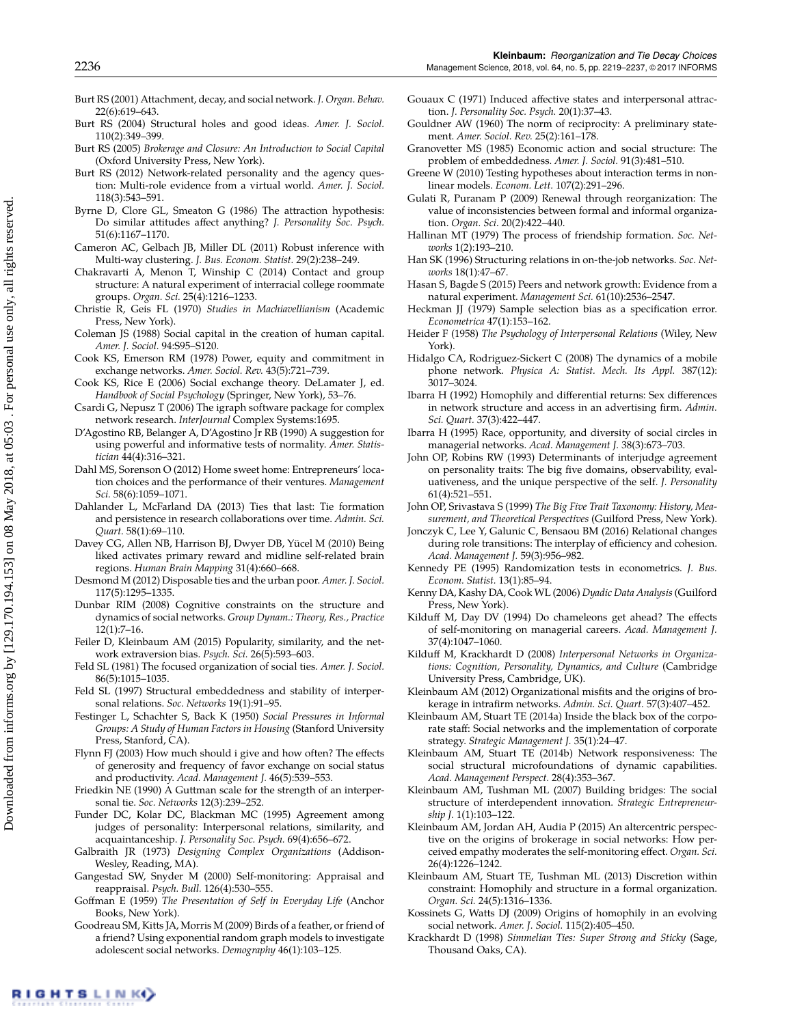- <span id="page-17-34"></span>Burt RS (2001) Attachment, decay, and social network. *J. Organ. Behav.* 22(6):619–643.
- <span id="page-17-0"></span>Burt RS (2004) Structural holes and good ideas. *Amer. J. Sociol.* 110(2):349–399.
- <span id="page-17-3"></span>Burt RS (2005) *Brokerage and Closure: An Introduction to Social Capital* (Oxford University Press, New York).
- <span id="page-17-53"></span>Burt RS (2012) Network-related personality and the agency question: Multi-role evidence from a virtual world. *Amer. J. Sociol.* 118(3):543–591.
- <span id="page-17-16"></span>Byrne D, Clore GL, Smeaton G (1986) The attraction hypothesis: Do similar attitudes affect anything? *J. Personality Soc. Psych.* 51(6):1167–1170.
- <span id="page-17-45"></span>Cameron AC, Gelbach JB, Miller DL (2011) Robust inference with Multi-way clustering. *J. Bus. Econom. Statist.* 29(2):238–249.
- <span id="page-17-38"></span>Chakravarti A, Menon T, Winship C (2014) Contact and group structure: A natural experiment of interracial college roommate groups. *Organ. Sci.* 25(4):1216–1233.
- <span id="page-17-21"></span>Christie R, Geis FL (1970) *Studies in Machiavellianism* (Academic Press, New York).
- <span id="page-17-32"></span>Coleman JS (1988) Social capital in the creation of human capital. *Amer. J. Sociol.* 94:S95–S120.
- <span id="page-17-20"></span>Cook KS, Emerson RM (1978) Power, equity and commitment in exchange networks. *Amer. Sociol. Rev.* 43(5):721–739.
- <span id="page-17-24"></span>Cook KS, Rice E (2006) Social exchange theory. DeLamater J, ed. *Handbook of Social Psychology* (Springer, New York), 53–76.
- <span id="page-17-40"></span>Csardi G, Nepusz T (2006) The igraph software package for complex network research. *InterJournal* Complex Systems:1695.
- <span id="page-17-41"></span>D'Agostino RB, Belanger A, D'Agostino Jr RB (1990) A suggestion for using powerful and informative tests of normality. *Amer. Statistician* 44(4):316–321.
- <span id="page-17-5"></span>Dahl MS, Sorenson O (2012) Home sweet home: Entrepreneurs' location choices and the performance of their ventures. *Management Sci.* 58(6):1059–1071.
- <span id="page-17-46"></span>Dahlander L, McFarland DA (2013) Ties that last: Tie formation and persistence in research collaborations over time. *Admin. Sci. Quart.* 58(1):69–110.
- <span id="page-17-26"></span>Davey CG, Allen NB, Harrison BJ, Dwyer DB, Yücel M (2010) Being liked activates primary reward and midline self-related brain regions. *Human Brain Mapping* 31(4):660–668.
- <span id="page-17-56"></span>Desmond M (2012) Disposable ties and the urban poor. *Amer. J. Sociol.* 117(5):1295–1335.
- <span id="page-17-18"></span>Dunbar RIM (2008) Cognitive constraints on the structure and dynamics of social networks. *Group Dynam.: Theory, Res., Practice* 12(1):7–16.
- <span id="page-17-17"></span>Feiler D, Kleinbaum AM (2015) Popularity, similarity, and the network extraversion bias. *Psych. Sci.* 26(5):593–603.
- <span id="page-17-2"></span>Feld SL (1981) The focused organization of social ties. *Amer. J. Sociol.* 86(5):1015–1035.
- <span id="page-17-6"></span>Feld SL (1997) Structural embeddedness and stability of interpersonal relations. *Soc. Networks* 19(1):91–95.
- <span id="page-17-1"></span>Festinger L, Schachter S, Back K (1950) *Social Pressures in Informal Groups: A Study of Human Factors in Housing* (Stanford University Press, Stanford, CA).
- <span id="page-17-23"></span>Flynn FJ (2003) How much should i give and how often? The effects of generosity and frequency of favor exchange on social status and productivity. *Acad. Management J.* 46(5):539–553.
- <span id="page-17-25"></span>Friedkin NE (1990) A Guttman scale for the strength of an interpersonal tie. *Soc. Networks* 12(3):239–252.
- <span id="page-17-43"></span>Funder DC, Kolar DC, Blackman MC (1995) Agreement among judges of personality: Interpersonal relations, similarity, and acquaintanceship. *J. Personality Soc. Psych.* 69(4):656–672.
- <span id="page-17-12"></span>Galbraith JR (1973) *Designing Complex Organizations* (Addison-Wesley, Reading, MA).
- <span id="page-17-36"></span>Gangestad SW, Snyder M (2000) Self-monitoring: Appraisal and reappraisal. *Psych. Bull.* 126(4):530–555.
- <span id="page-17-35"></span>Goffman E (1959) *The Presentation of Self in Everyday Life* (Anchor Books, New York).
- <span id="page-17-15"></span>Goodreau SM, Kitts JA, Morris M (2009) Birds of a feather, or friend of a friend? Using exponential random graph models to investigate adolescent social networks. *Demography* 46(1):103–125.

RIGHTSLINK)

- <span id="page-17-27"></span>Gouaux C (1971) Induced affective states and interpersonal attraction. *J. Personality Soc. Psych.* 20(1):37–43.
- <span id="page-17-22"></span>Gouldner AW (1960) The norm of reciprocity: A preliminary statement. *Amer. Sociol. Rev.* 25(2):161–178.
- <span id="page-17-31"></span>Granovetter MS (1985) Economic action and social structure: The problem of embeddedness. *Amer. J. Sociol.* 91(3):481–510.
- <span id="page-17-48"></span>Greene W (2010) Testing hypotheses about interaction terms in nonlinear models. *Econom. Lett.* 107(2):291–296.
- <span id="page-17-54"></span>Gulati R, Puranam P (2009) Renewal through reorganization: The value of inconsistencies between formal and informal organization. *Organ. Sci*. 20(2):422–440.
- <span id="page-17-29"></span>Hallinan MT (1979) The process of friendship formation. *Soc. Networks* 1(2):193–210.
- <span id="page-17-10"></span>Han SK (1996) Structuring relations in on-the-job networks. *Soc. Networks* 18(1):47–67.
- <span id="page-17-39"></span>Hasan S, Bagde S (2015) Peers and network growth: Evidence from a natural experiment. *Management Sci.* 61(10):2536–2547.
- <span id="page-17-49"></span>Heckman JJ (1979) Sample selection bias as a specification error. *Econometrica* 47(1):153–162.
- <span id="page-17-28"></span>Heider F (1958) *The Psychology of Interpersonal Relations* (Wiley, New York).
- <span id="page-17-30"></span>Hidalgo CA, Rodriguez-Sickert C (2008) The dynamics of a mobile phone network. *Physica A: Statist. Mech. Its Appl.* 387(12): 3017–3024.
- <span id="page-17-13"></span>Ibarra H (1992) Homophily and differential returns: Sex differences in network structure and access in an advertising firm. *Admin. Sci. Quart.* 37(3):422–447.
- <span id="page-17-14"></span>Ibarra H (1995) Race, opportunity, and diversity of social circles in managerial networks. *Acad. Management J.* 38(3):673–703.
- <span id="page-17-42"></span>John OP, Robins RW (1993) Determinants of interjudge agreement on personality traits: The big five domains, observability, evaluativeness, and the unique perspective of the self. *J. Personality* 61(4):521–551.
- <span id="page-17-55"></span>John OP, Srivastava S (1999) *The Big Five Trait Taxonomy: History, Measurement, and Theoretical Perspectives* (Guilford Press, New York).
- <span id="page-17-19"></span>Jonczyk C, Lee Y, Galunic C, Bensaou BM (2016) Relational changes during role transitions: The interplay of efficiency and cohesion. *Acad. Management J.* 59(3):956–982.
- <span id="page-17-47"></span>Kennedy PE (1995) Randomization tests in econometrics. *J. Bus. Econom. Statist.* 13(1):85–94.
- <span id="page-17-44"></span>Kenny DA, Kashy DA, Cook WL (2006) *Dyadic Data Analysis*(Guilford Press, New York).
- <span id="page-17-37"></span>Kilduff M, Day DV (1994) Do chameleons get ahead? The effects of self-monitoring on managerial careers. *Acad. Management J.* 37(4):1047–1060.
- <span id="page-17-7"></span>Kilduff M, Krackhardt D (2008) *Interpersonal Networks in Organizations: Cognition, Personality, Dynamics, and Culture* (Cambridge University Press, Cambridge, UK).
- <span id="page-17-50"></span>Kleinbaum AM (2012) Organizational misfits and the origins of brokerage in intrafirm networks. *Admin. Sci. Quart.* 57(3):407–452.
- <span id="page-17-52"></span>Kleinbaum AM, Stuart TE (2014a) Inside the black box of the corporate staff: Social networks and the implementation of corporate strategy. *Strategic Management J.* 35(1):24–47.
- <span id="page-17-51"></span>Kleinbaum AM, Stuart TE (2014b) Network responsiveness: The social structural microfoundations of dynamic capabilities. *Acad. Management Perspect.* 28(4):353–367.
- <span id="page-17-4"></span>Kleinbaum AM, Tushman ML (2007) Building bridges: The social structure of interdependent innovation. *Strategic Entrepreneurship J.* 1(1):103–122.
- <span id="page-17-8"></span>Kleinbaum AM, Jordan AH, Audia P (2015) An altercentric perspective on the origins of brokerage in social networks: How perceived empathy moderates the self-monitoring effect. *Organ. Sci.* 26(4):1226–1242.
- <span id="page-17-11"></span>Kleinbaum AM, Stuart TE, Tushman ML (2013) Discretion within constraint: Homophily and structure in a formal organization. *Organ. Sci.* 24(5):1316–1336.
- <span id="page-17-9"></span>Kossinets G, Watts DJ (2009) Origins of homophily in an evolving social network. *Amer. J. Sociol.* 115(2):405–450.
- <span id="page-17-33"></span>Krackhardt D (1998) *Simmelian Ties: Super Strong and Sticky* (Sage, Thousand Oaks, CA).